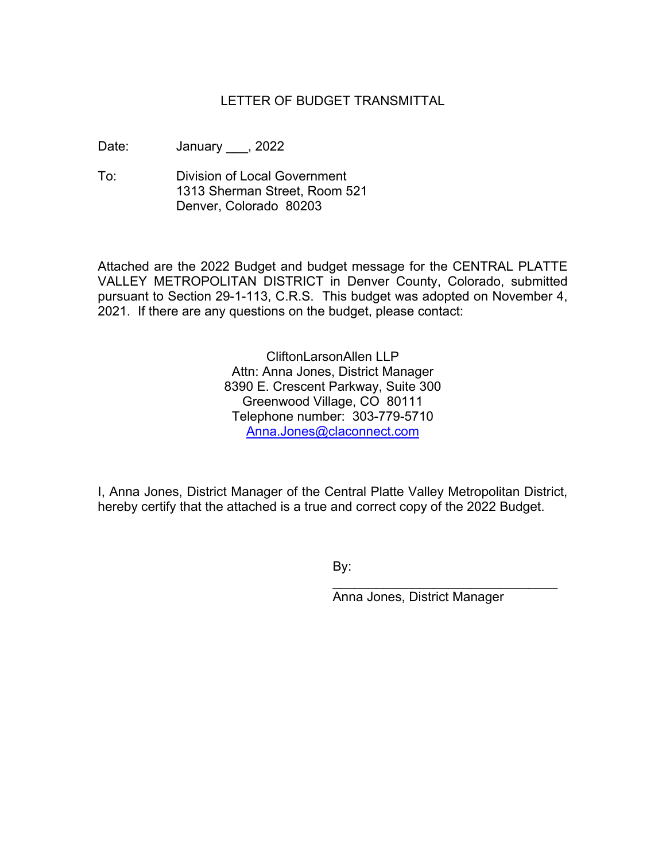## LETTER OF BUDGET TRANSMITTAL

Date: January \_\_\_, 2022

To: Division of Local Government 1313 Sherman Street, Room 521 Denver, Colorado 80203

Attached are the 2022 Budget and budget message for the CENTRAL PLATTE VALLEY METROPOLITAN DISTRICT in Denver County, Colorado, submitted pursuant to Section 29-1-113, C.R.S. This budget was adopted on November 4, 2021. If there are any questions on the budget, please contact:

> CliftonLarsonAllen LLP Attn: Anna Jones, District Manager 8390 E. Crescent Parkway, Suite 300 Greenwood Village, CO 80111 Telephone number: 303-779-5710 Anna.Jones@claconnect.com

I, Anna Jones, District Manager of the Central Platte Valley Metropolitan District, hereby certify that the attached is a true and correct copy of the 2022 Budget.

By:

Anna Jones, District Manager

\_\_\_\_\_\_\_\_\_\_\_\_\_\_\_\_\_\_\_\_\_\_\_\_\_\_\_\_\_\_\_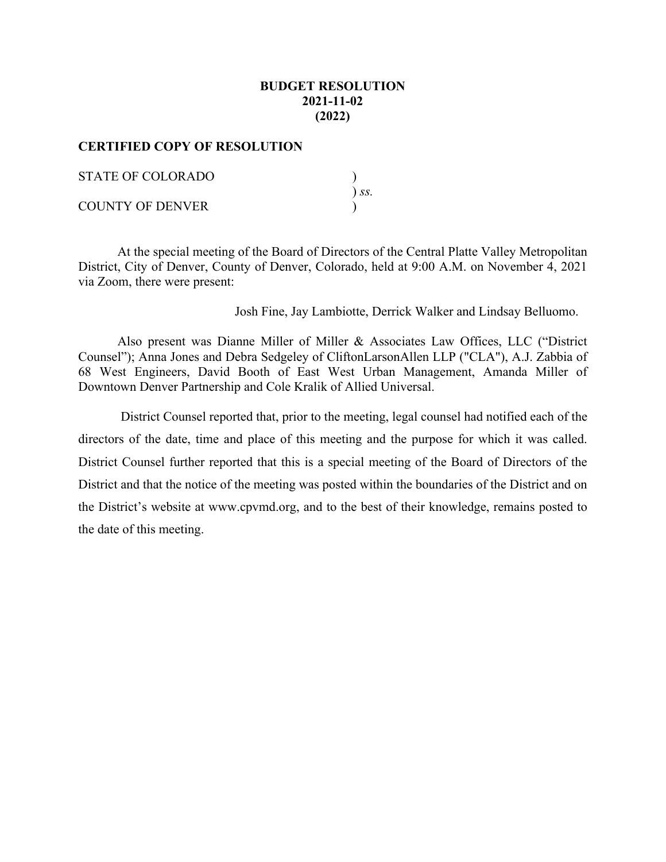## **BUDGET RESOLUTION 2021-11-02 (2022)**

#### **CERTIFIED COPY OF RESOLUTION**

| STATE OF COLORADO       |            |
|-------------------------|------------|
|                         | $\sum S$ . |
| <b>COUNTY OF DENVER</b> |            |

At the special meeting of the Board of Directors of the Central Platte Valley Metropolitan District, City of Denver, County of Denver, Colorado, held at 9:00 A.M. on November 4, 2021 via Zoom, there were present:

Josh Fine, Jay Lambiotte, Derrick Walker and Lindsay Belluomo.

Also present was Dianne Miller of Miller & Associates Law Offices, LLC ("District Counsel"); Anna Jones and Debra Sedgeley of CliftonLarsonAllen LLP ("CLA"), A.J. Zabbia of 68 West Engineers, David Booth of East West Urban Management, Amanda Miller of Downtown Denver Partnership and Cole Kralik of Allied Universal.

 District Counsel reported that, prior to the meeting, legal counsel had notified each of the directors of the date, time and place of this meeting and the purpose for which it was called. District Counsel further reported that this is a special meeting of the Board of Directors of the District and that the notice of the meeting was posted within the boundaries of the District and on the District's website at www.cpvmd.org, and to the best of their knowledge, remains posted to the date of this meeting.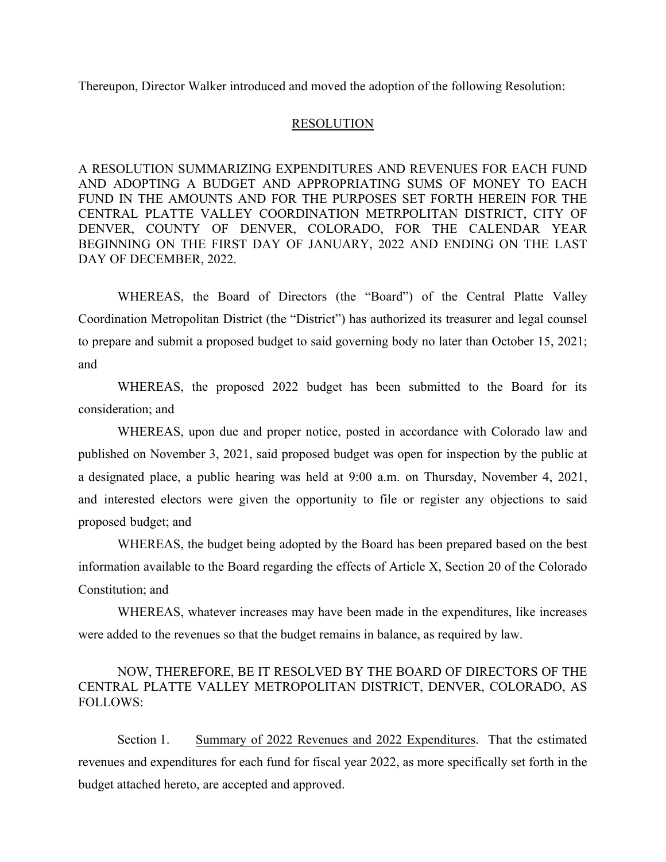Thereupon, Director Walker introduced and moved the adoption of the following Resolution:

#### RESOLUTION

A RESOLUTION SUMMARIZING EXPENDITURES AND REVENUES FOR EACH FUND AND ADOPTING A BUDGET AND APPROPRIATING SUMS OF MONEY TO EACH FUND IN THE AMOUNTS AND FOR THE PURPOSES SET FORTH HEREIN FOR THE CENTRAL PLATTE VALLEY COORDINATION METRPOLITAN DISTRICT, CITY OF DENVER, COUNTY OF DENVER, COLORADO, FOR THE CALENDAR YEAR BEGINNING ON THE FIRST DAY OF JANUARY, 2022 AND ENDING ON THE LAST DAY OF DECEMBER, 2022.

WHEREAS, the Board of Directors (the "Board") of the Central Platte Valley Coordination Metropolitan District (the "District") has authorized its treasurer and legal counsel to prepare and submit a proposed budget to said governing body no later than October 15, 2021; and

WHEREAS, the proposed 2022 budget has been submitted to the Board for its consideration; and

WHEREAS, upon due and proper notice, posted in accordance with Colorado law and published on November 3, 2021, said proposed budget was open for inspection by the public at a designated place, a public hearing was held at 9:00 a.m. on Thursday, November 4, 2021, and interested electors were given the opportunity to file or register any objections to said proposed budget; and

WHEREAS, the budget being adopted by the Board has been prepared based on the best information available to the Board regarding the effects of Article X, Section 20 of the Colorado Constitution; and

WHEREAS, whatever increases may have been made in the expenditures, like increases were added to the revenues so that the budget remains in balance, as required by law.

## NOW, THEREFORE, BE IT RESOLVED BY THE BOARD OF DIRECTORS OF THE CENTRAL PLATTE VALLEY METROPOLITAN DISTRICT, DENVER, COLORADO, AS FOLLOWS:

Section 1. Summary of 2022 Revenues and 2022 Expenditures. That the estimated revenues and expenditures for each fund for fiscal year 2022, as more specifically set forth in the budget attached hereto, are accepted and approved.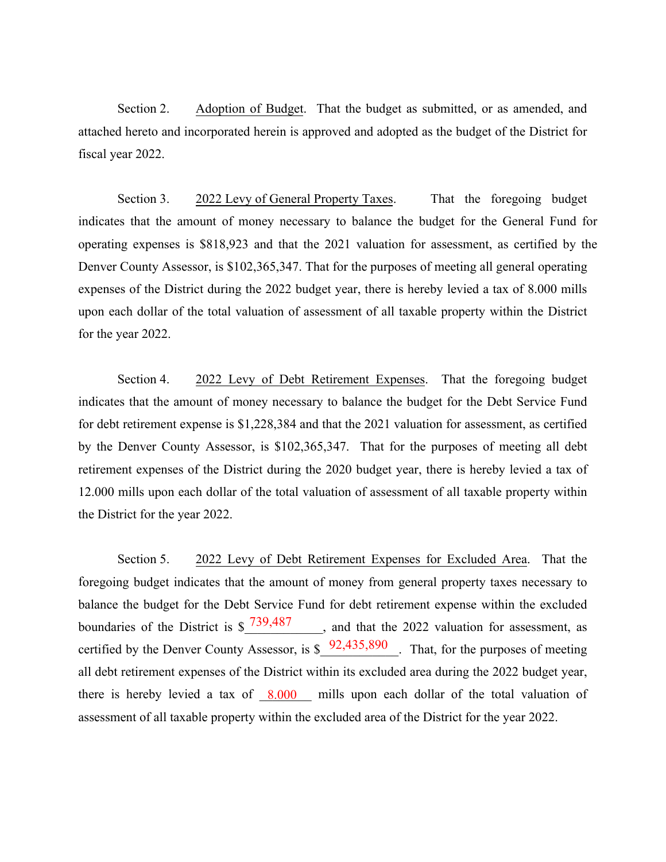Section 2. Adoption of Budget. That the budget as submitted, or as amended, and attached hereto and incorporated herein is approved and adopted as the budget of the District for fiscal year 2022.

Section 3. 2022 Levy of General Property Taxes. That the foregoing budget indicates that the amount of money necessary to balance the budget for the General Fund for operating expenses is \$818,923 and that the 2021 valuation for assessment, as certified by the Denver County Assessor, is \$102,365,347. That for the purposes of meeting all general operating expenses of the District during the 2022 budget year, there is hereby levied a tax of 8.000 mills upon each dollar of the total valuation of assessment of all taxable property within the District for the year 2022.

Section 4. 2022 Levy of Debt Retirement Expenses. That the foregoing budget indicates that the amount of money necessary to balance the budget for the Debt Service Fund for debt retirement expense is \$1,228,384 and that the 2021 valuation for assessment, as certified by the Denver County Assessor, is \$102,365,347. That for the purposes of meeting all debt retirement expenses of the District during the 202 budget y ear, there is hereby levied a tax of 12.000 mills upon each dollar of the total valuation of assessment of all taxable property within the District for the year 2022.

Section 5. 2022 Levy of Debt Retirement Expenses for Excluded Area. That the foregoing budget indicates that the amount of money from general property taxes necessary to balance the budget for the Debt Service Fund for debt retirement expense within the excluded boundaries of the District is  $\frac{7}{8}$  739,48 \_\_\_\_\_\_\_, and that the 2022 valuation for assessment, as certified by the Denver County Assessor, is  $\frac{1}{8}$  92,435,89 cannot hat, for the purposes of meeting all debt retirement expenses of the District within its excluded area during the 2022 budget year, there is hereby levied a tax  $\&6f \quad 8.00$  mills upon each dollar of the total valuation of assessment of all taxable property within the excluded area of the District for the year 2022.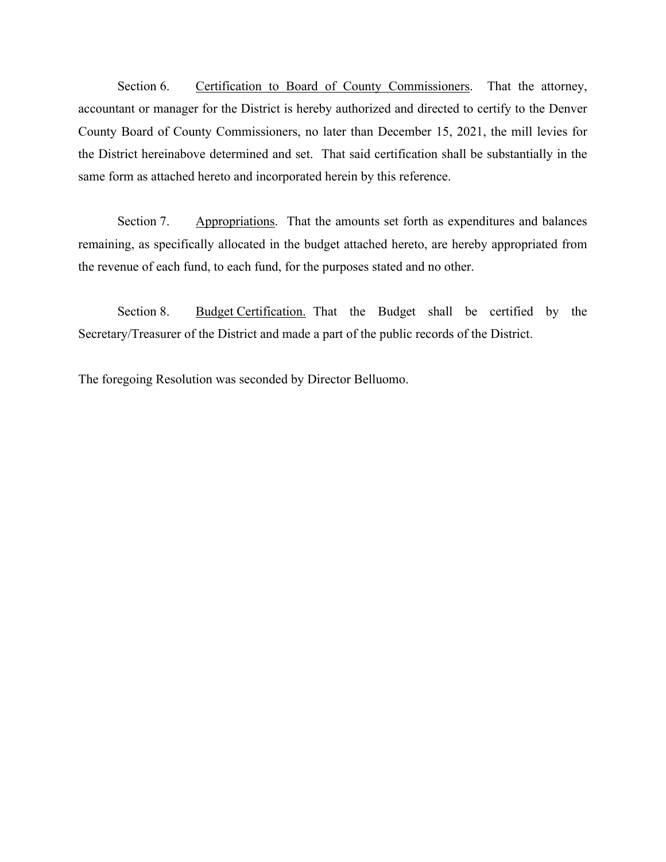Section 6. Certification to Board of County Commissioners. That the attorney, accountant or manager for the District is hereby authorized and directed to certify to the Denver County Board of County Commissioners, no later than December 15, 2021, the mill levies for the District hereinabove determined and set. That said certification shall be substantially in the same form as attached hereto and incorporated herein by this reference.

Section 7. Appropriations. That the amounts set forth as expenditures and balances remaining, as specifically allocated in the budget attached hereto, are hereby appropriated from the revenue of each fund, to each fund, for the purposes stated and no other.

Section 8. Budget Certification. That the Budget shall be certified by the Secretary/Treasurer of the District and made a part of the public records of the District.

The foregoing Resolution was seconded by Director Belluomo.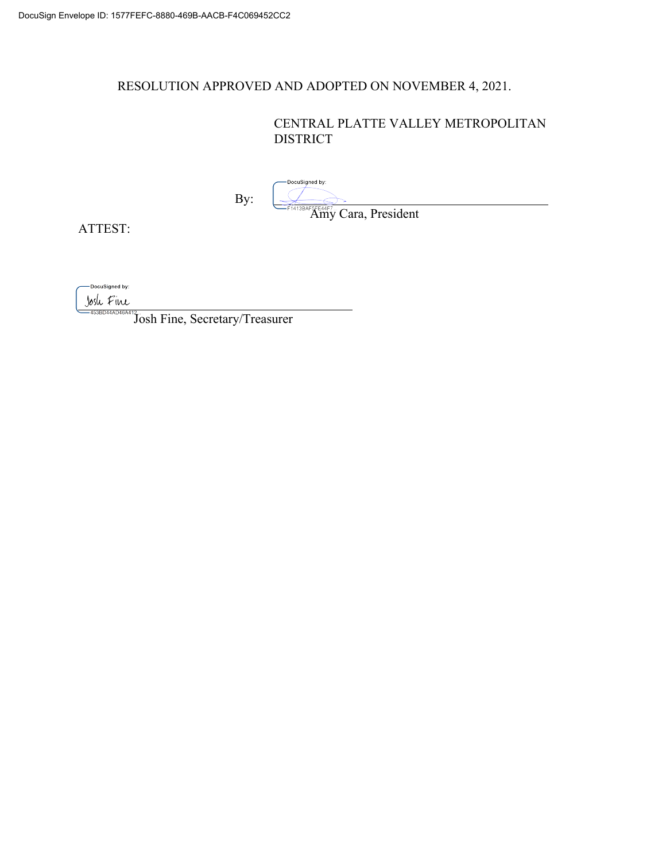## RESOLUTION APPROVED AND ADOPTED ON NOVEMBER 4, 2021.

## CENTRAL PLATTE VALLEY METROPOLITAN DISTRICT

By:

-DocuSigned by:

**Amy Cara, President** 

ATTEST:

-DocuSigned by:

Josh Fine

l

Josh Fine, Secretary/Treasurer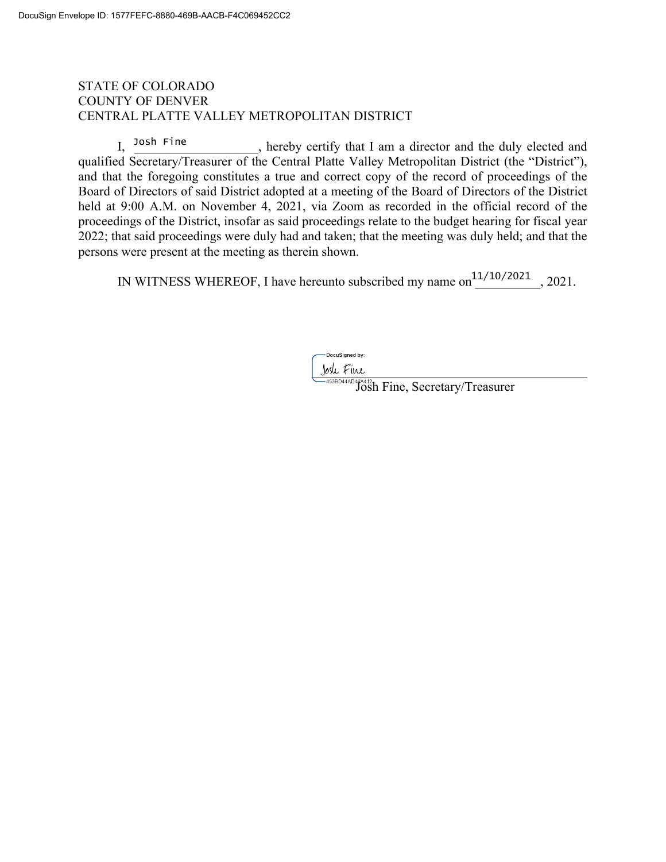## STATE OF COLORADO COUNTY OF DENVER CENTRAL PLATTE VALLEY METROPOLITAN DISTRICT

, hereby certify that I am a director and the duly elected and qualified Secretary/Treasurer of the Central Platte Valley Metropolitan District (the "District"), and that the foregoing constitutes a true and correct copy of the record of proceedings of the Board of Directors of said District adopted at a meeting of the Board of Directors of the District held at 9:00 A.M. on November 4, 2021, via Zoom as recorded in the official record of the proceedings of the District, insofar as said proceedings relate to the budget hearing for fiscal year 2022; that said proceedings were duly had and taken; that the meeting was duly held; and that the persons were present at the meeting as therein shown. Josh Fine

IN WITNESS WHEREOF, I have hereunto subscribed my name on $\frac{11}{10}$ /2021, 2021.

-DocuSianed by:

Josh Fine, Secretary/Treasurer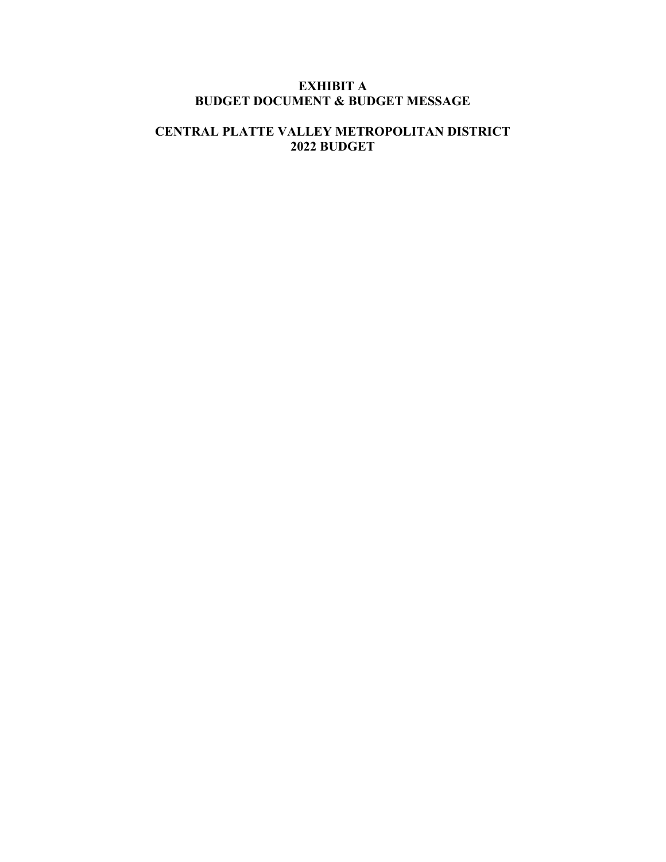## **EXHIBIT A BUDGET DOCUMENT & BUDGET MESSAGE**

## **CENTRAL PLATTE VALLEY METROPOLITAN DISTRICT 2022 BUDGET**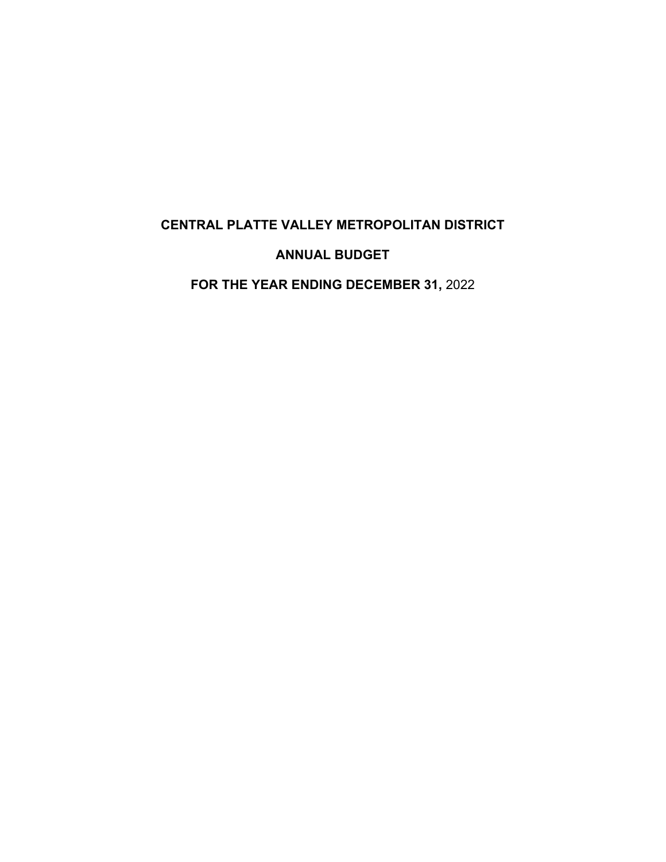## **CENTRAL PLATTE VALLEY METROPOLITAN DISTRICT**

## **ANNUAL BUDGET**

**FOR THE YEAR ENDING DECEMBER 31,** 2022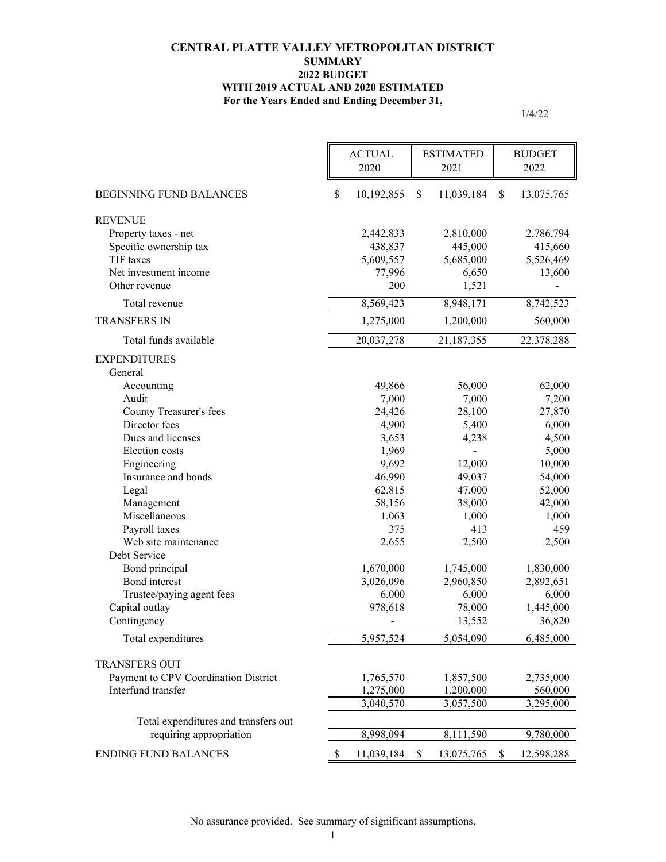#### **For the Years Ended and Ending December 31, CENTRAL PLATTE VALLEY METROPOLITAN DISTRICT SUMMARY 2022 BUDGET WITH 2019 ACTUAL AND 2020 ESTIMATED**

|                                      | <b>ACTUAL</b><br>2020 | <b>ESTIMATED</b><br>2021 | <b>BUDGET</b><br>2022 |
|--------------------------------------|-----------------------|--------------------------|-----------------------|
| <b>BEGINNING FUND BALANCES</b>       | \$<br>10,192,855      | \$<br>11,039,184         | \$<br>13,075,765      |
| <b>REVENUE</b>                       |                       |                          |                       |
| Property taxes - net                 | 2,442,833             | 2,810,000                | 2,786,794             |
| Specific ownership tax               | 438,837               | 445,000                  | 415,660               |
| TIF taxes                            | 5,609,557             | 5,685,000                | 5,526,469             |
| Net investment income                | 77,996                | 6,650                    | 13,600                |
| Other revenue                        | 200                   | 1,521                    |                       |
| Total revenue                        | 8,569,423             | 8,948,171                | 8,742,523             |
| <b>TRANSFERS IN</b>                  | 1,275,000             | 1,200,000                | 560,000               |
| Total funds available                | 20,037,278            | 21,187,355               | 22,378,288            |
| <b>EXPENDITURES</b><br>General       |                       |                          |                       |
| Accounting                           | 49,866                | 56,000                   | 62,000                |
| Audit                                | 7,000                 | 7,000                    | 7,200                 |
| County Treasurer's fees              | 24,426                | 28,100                   | 27,870                |
| Director fees                        | 4,900                 | 5,400                    | 6,000                 |
| Dues and licenses                    | 3,653                 | 4,238                    | 4,500                 |
| Election costs                       | 1,969                 |                          | 5,000                 |
| Engineering                          | 9,692                 | 12,000                   | 10,000                |
| Insurance and bonds                  | 46,990                | 49,037                   | 54,000                |
| Legal                                | 62,815                | 47,000                   | 52,000                |
| Management                           | 58,156                | 38,000                   | 42,000                |
| Miscellaneous                        | 1,063                 | 1,000                    | 1,000                 |
| Payroll taxes                        | 375                   | 413                      | 459                   |
| Web site maintenance<br>Debt Service | 2,655                 | 2,500                    | 2,500                 |
| Bond principal                       | 1,670,000             | 1,745,000                | 1,830,000             |
| Bond interest                        | 3,026,096             | 2,960,850                | 2,892,651             |
| Trustee/paying agent fees            | 6,000                 | 6,000                    | 6,000                 |
| Capital outlay                       | 978,618               | 78,000                   | 1,445,000             |
| Contingency                          |                       | 13,552                   | 36,820                |
| Total expenditures                   | 5,957,524             | 5,054,090                | 6,485,000             |
| <b>TRANSFERS OUT</b>                 |                       |                          |                       |
| Payment to CPV Coordination District | 1,765,570             | 1,857,500                | 2,735,000             |
| Interfund transfer                   | 1,275,000             | 1,200,000                | 560,000               |
|                                      | 3,040,570             | 3,057,500                | 3,295,000             |
| Total expenditures and transfers out |                       |                          |                       |
| requiring appropriation              | 8,998,094             | 8,111,590                | 9,780,000             |
| <b>ENDING FUND BALANCES</b>          | \$<br>11,039,184      | \$<br>13,075,765         | \$<br>12,598,288      |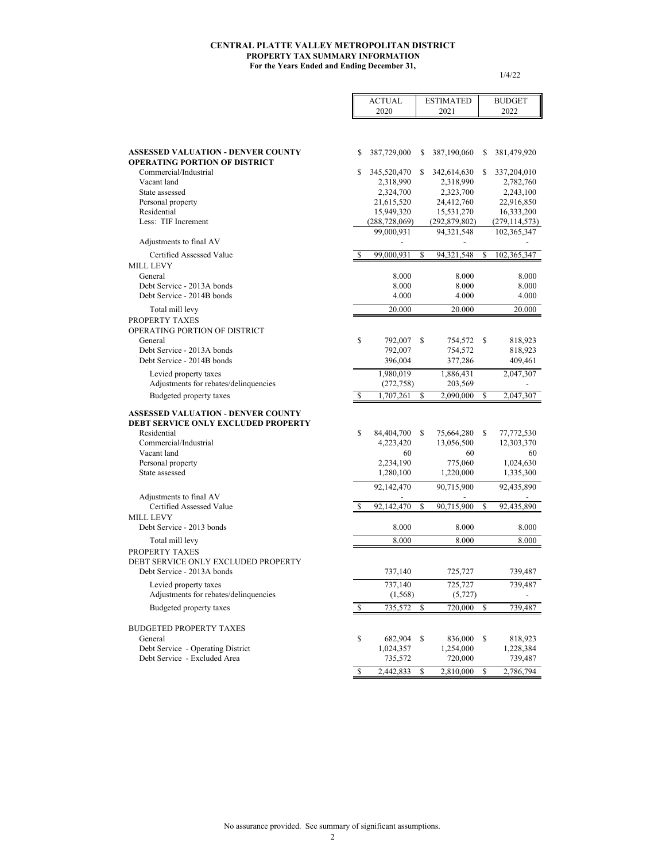#### **CENTRAL PLATTE VALLEY METROPOLITAN DISTRICT PROPERTY TAX SUMMARY INFORMATION For the Years Ended and Ending December 31,**

Ē.

1/4/22

5

|                                                                                   |    | <b>ACTUAL</b><br>2020 |    | <b>ESTIMATED</b><br>2021 |    | <b>BUDGET</b><br>2022 |
|-----------------------------------------------------------------------------------|----|-----------------------|----|--------------------------|----|-----------------------|
|                                                                                   |    |                       |    |                          |    |                       |
| <b>ASSESSED VALUATION - DENVER COUNTY</b><br><b>OPERATING PORTION OF DISTRICT</b> | S  | 387,729,000           | S  | 387,190,060              | S  | 381,479,920           |
| Commercial/Industrial                                                             | S  | 345,520,470           | S  | 342,614,630              | \$ | 337,204,010           |
| Vacant land                                                                       |    | 2,318,990             |    | 2,318,990                |    | 2,782,760             |
| State assessed                                                                    |    | 2,324,700             |    | 2,323,700                |    | 2,243,100             |
| Personal property                                                                 |    | 21,615,520            |    | 24,412,760               |    | 22,916,850            |
| Residential                                                                       |    | 15,949,320            |    | 15,531,270               |    | 16,333,200            |
| Less: TIF Increment                                                               |    | (288, 728, 069)       |    | (292, 879, 802)          |    | (279, 114, 573)       |
|                                                                                   |    | 99,000,931            |    | 94, 321, 548             |    | 102,365,347           |
| Adjustments to final AV                                                           |    |                       |    |                          |    |                       |
| Certified Assessed Value                                                          | S  | 99,000,931            | S  | 94,321,548               | \$ | 102,365,347           |
| <b>MILL LEVY</b>                                                                  |    |                       |    |                          |    |                       |
| General                                                                           |    | 8.000                 |    | 8.000                    |    | 8.000                 |
| Debt Service - 2013A bonds                                                        |    | 8.000                 |    | 8.000                    |    | 8.000                 |
| Debt Service - 2014B bonds                                                        |    | 4.000                 |    | 4.000                    |    | 4.000                 |
| Total mill levy                                                                   |    | 20.000                |    | 20.000                   |    | 20.000                |
| PROPERTY TAXES                                                                    |    |                       |    |                          |    |                       |
| OPERATING PORTION OF DISTRICT                                                     |    |                       |    |                          |    |                       |
| General                                                                           | \$ | 792,007               | \$ | 754,572                  | S  |                       |
| Debt Service - 2013A bonds                                                        |    | 792,007               |    | 754,572                  |    | 818,923<br>818,923    |
| Debt Service - 2014B bonds                                                        |    | 396,004               |    | 377,286                  |    | 409,461               |
|                                                                                   |    |                       |    |                          |    |                       |
| Levied property taxes                                                             |    | 1,980,019             |    | 1,886,431                |    | 2,047,307             |
| Adjustments for rebates/delinquencies                                             |    | (272, 758)            |    | 203,569                  |    |                       |
| Budgeted property taxes                                                           | S  | 1,707,261             | S  | 2,090,000                | S  | 2,047,307             |
| <b>ASSESSED VALUATION - DENVER COUNTY</b>                                         |    |                       |    |                          |    |                       |
| <b>DEBT SERVICE ONLY EXCLUDED PROPERTY</b>                                        |    |                       |    |                          |    |                       |
| Residential                                                                       | \$ | 84,404,700            | S  | 75,664,280               | \$ | 77,772,530            |
| Commercial/Industrial                                                             |    | 4,223,420             |    | 13,056,500               |    | 12,303,370            |
| Vacant land                                                                       |    | 60                    |    | 60                       |    | 60                    |
| Personal property                                                                 |    | 2,234,190             |    | 775,060                  |    | 1,024,630             |
| State assessed                                                                    |    | 1,280,100             |    | 1,220,000                |    | 1,335,300             |
|                                                                                   |    |                       |    |                          |    |                       |
|                                                                                   |    | 92,142,470            |    | 90,715,900               |    | 92,435,890            |
| Adjustments to final AV<br>Certified Assessed Value                               |    | 92,142,470            | S  | 90,715,900               | \$ | 92,435,890            |
| <b>MILL LEVY</b>                                                                  |    |                       |    |                          |    |                       |
| Debt Service - 2013 bonds                                                         |    | 8.000                 |    | 8.000                    |    | 8.000                 |
|                                                                                   |    |                       |    |                          |    |                       |
| Total mill levy                                                                   |    | 8.000                 |    | 8.000                    |    | 8.000                 |
| PROPERTY TAXES                                                                    |    |                       |    |                          |    |                       |
| DEBT SERVICE ONLY EXCLUDED PROPERTY                                               |    |                       |    |                          |    |                       |
| Debt Service - 2013A bonds                                                        |    | 737,140               |    | 725,727                  |    | 739,487               |
| Levied property taxes                                                             |    | 737,140               |    | 725,727                  |    | 739,487               |
| Adjustments for rebates/delinquencies                                             |    | (1, 568)              |    | (5, 727)                 |    |                       |
| Budgeted property taxes                                                           | \$ | 735,572               | S  | 720,000                  | \$ | 739,487               |
|                                                                                   |    |                       |    |                          |    |                       |
| <b>BUDGETED PROPERTY TAXES</b>                                                    |    |                       |    |                          |    |                       |
| General                                                                           | \$ | 682,904               | \$ | 836,000                  | \$ | 818,923               |
| Debt Service - Operating District                                                 |    | 1,024,357             |    | 1,254,000                |    | 1,228,384             |
| Debt Service - Excluded Area                                                      |    | 735,572               |    | 720,000                  |    | 739,487               |
|                                                                                   | \$ | 2,442,833             | \$ | 2,810,000                | \$ | 2,786,794             |
|                                                                                   |    |                       |    |                          |    |                       |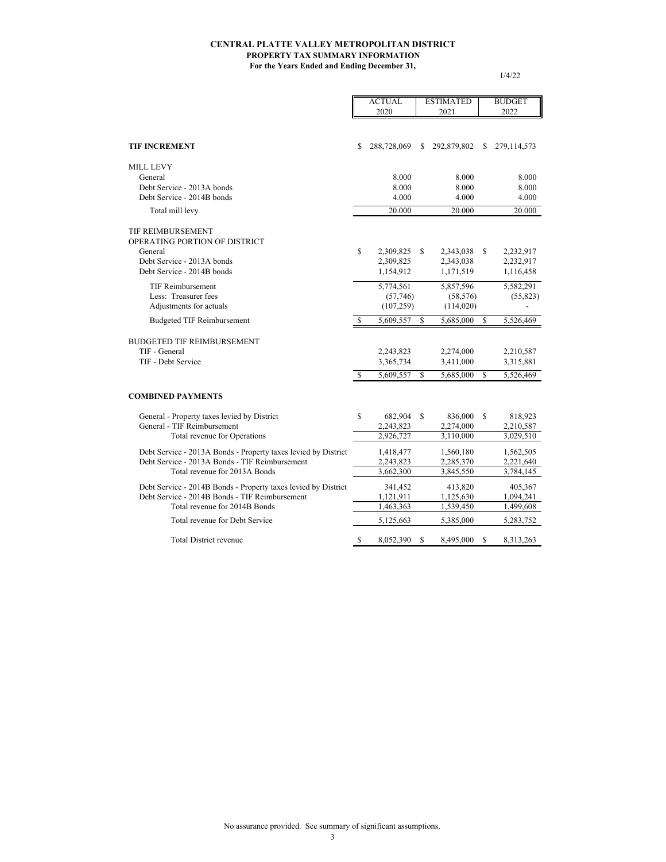#### **For the Years Ended and Ending December 31, CENTRAL PLATTE VALLEY METROPOLITAN DISTRICT PROPERTY TAX SUMMARY INFORMATION**

|                                                                |               | <b>ACTUAL</b> | <b>ESTIMATED</b> |             |    | <b>BUDGET</b> |
|----------------------------------------------------------------|---------------|---------------|------------------|-------------|----|---------------|
|                                                                |               | 2020          |                  | 2021        |    | 2022          |
|                                                                |               |               |                  |             |    |               |
| <b>TIF INCREMENT</b>                                           | S             | 288,728,069   | S                | 292,879,802 | S  | 279, 114, 573 |
| <b>MILL LEVY</b>                                               |               |               |                  |             |    |               |
| General                                                        |               | 8.000         |                  | 8.000       |    | 8.000         |
| Debt Service - 2013A bonds                                     |               | 8.000         |                  | 8.000       |    | 8.000         |
| Debt Service - 2014B bonds                                     |               | 4.000         |                  | 4.000       |    | 4.000         |
| Total mill levy                                                |               | 20.000        |                  | 20.000      |    | 20.000        |
| TIF REIMBURSEMENT<br>OPERATING PORTION OF DISTRICT             |               |               |                  |             |    |               |
| General                                                        | S             | 2,309,825     | S                | 2,343,038   | \$ | 2,232,917     |
| Debt Service - 2013A bonds<br>Debt Service - 2014B bonds       |               | 2,309,825     |                  | 2,343,038   |    | 2,232,917     |
|                                                                |               | 1,154,912     |                  | 1,171,519   |    | 1,116,458     |
| <b>TIF Reimbursement</b>                                       |               | 5,774,561     |                  | 5,857,596   |    | 5,582,291     |
| Less: Treasurer fees                                           |               | (57,746)      |                  | (58, 576)   |    | (55, 823)     |
| Adjustments for actuals                                        |               | (107, 259)    |                  | (114,020)   |    |               |
| <b>Budgeted TIF Reimbursement</b>                              | $\mathcal{S}$ | 5,609,557     | S                | 5,685,000   | \$ | 5,526,469     |
| <b>BUDGETED TIF REIMBURSEMENT</b>                              |               |               |                  |             |    |               |
| TIF - General                                                  |               | 2,243,823     |                  | 2,274,000   |    | 2,210,587     |
| TIF - Debt Service                                             |               | 3,365,734     |                  | 3,411,000   |    | 3,315,881     |
|                                                                | S             | 5,609,557     | S                | 5,685,000   | S  | 5,526,469     |
| <b>COMBINED PAYMENTS</b>                                       |               |               |                  |             |    |               |
| General - Property taxes levied by District                    | S             | 682,904       | S                | 836,000     | S  | 818,923       |
| General - TIF Reimbursement                                    |               | 2,243,823     |                  | 2,274,000   |    | 2,210,587     |
| Total revenue for Operations                                   |               | 2,926,727     |                  | 3,110,000   |    | 3,029,510     |
| Debt Service - 2013A Bonds - Property taxes levied by District |               | 1,418,477     |                  | 1,560,180   |    | 1,562,505     |
| Debt Service - 2013A Bonds - TIF Reimbursement                 |               | 2,243,823     |                  | 2,285,370   |    | 2,221,640     |
| Total revenue for 2013A Bonds                                  |               | 3,662,300     |                  | 3,845,550   |    | 3,784,145     |
| Debt Service - 2014B Bonds - Property taxes levied by District |               | 341,452       |                  | 413,820     |    | 405,367       |
| Debt Service - 2014B Bonds - TIF Reimbursement                 |               | 1,121,911     |                  | 1,125,630   |    | 1,094,241     |
| Total revenue for 2014B Bonds                                  |               | 1,463,363     |                  | 1,539,450   |    | 1,499,608     |
| Total revenue for Debt Service                                 |               | 5,125,663     |                  | 5,385,000   |    | 5,283,752     |
| Total District revenue                                         | \$            | 8,052,390     | S                | 8,495,000   | S  | 8,313,263     |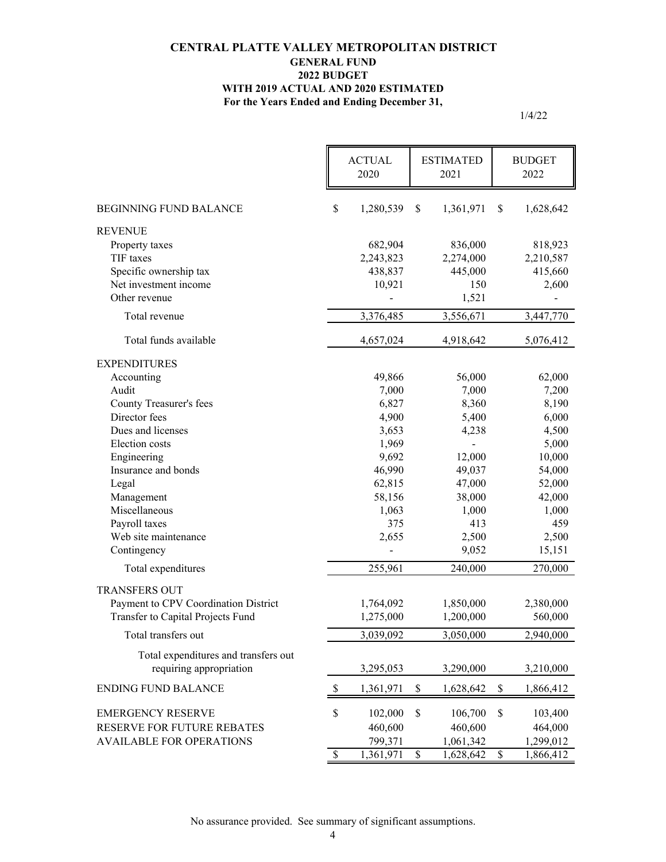#### **CENTRAL PLATTE VALLEY METROPOLITAN DISTRICT GENERAL FUND 2022 BUDGET WITH 2019 ACTUAL AND 2020 ESTIMATED For the Years Ended and Ending December 31,**

|                                                                 |              | <b>ACTUAL</b><br>2020 |                          | <b>ESTIMATED</b><br>2021 |               | <b>BUDGET</b><br>2022 |
|-----------------------------------------------------------------|--------------|-----------------------|--------------------------|--------------------------|---------------|-----------------------|
| <b>BEGINNING FUND BALANCE</b>                                   | \$           | 1,280,539             | \$                       | 1,361,971                | <sup>\$</sup> | 1,628,642             |
| <b>REVENUE</b>                                                  |              |                       |                          |                          |               |                       |
| Property taxes                                                  |              | 682,904               |                          | 836,000                  |               | 818,923               |
| TIF taxes                                                       |              | 2,243,823             |                          | 2,274,000                |               | 2,210,587             |
| Specific ownership tax                                          |              | 438,837               |                          | 445,000                  |               | 415,660               |
| Net investment income                                           |              | 10,921                |                          | 150                      |               | 2,600                 |
| Other revenue                                                   |              |                       |                          | 1,521                    |               |                       |
| Total revenue                                                   |              | 3,376,485             |                          | 3,556,671                |               | 3,447,770             |
| Total funds available                                           |              | 4,657,024             |                          | 4,918,642                |               | 5,076,412             |
| <b>EXPENDITURES</b>                                             |              |                       |                          |                          |               |                       |
| Accounting                                                      |              | 49,866                |                          | 56,000                   |               | 62,000                |
| Audit                                                           |              | 7,000                 |                          | 7,000                    |               | 7,200                 |
| <b>County Treasurer's fees</b>                                  |              | 6,827                 |                          | 8,360                    |               | 8,190                 |
| Director fees                                                   |              | 4,900                 |                          | 5,400                    |               | 6,000                 |
| Dues and licenses                                               |              | 3,653                 |                          | 4,238                    |               | 4,500                 |
| Election costs                                                  |              | 1,969                 |                          | $\blacksquare$           |               | 5,000                 |
| Engineering                                                     |              | 9,692                 |                          | 12,000                   |               | 10,000                |
| Insurance and bonds                                             |              | 46,990                |                          | 49,037                   |               | 54,000                |
| Legal                                                           |              | 62,815                |                          | 47,000                   |               | 52,000                |
| Management                                                      |              | 58,156                |                          | 38,000                   |               | 42,000                |
| Miscellaneous                                                   |              | 1,063                 |                          | 1,000                    |               | 1,000                 |
| Payroll taxes                                                   |              | 375                   |                          | 413                      |               | 459                   |
| Web site maintenance                                            |              | 2,655                 |                          | 2,500                    |               | 2,500                 |
| Contingency                                                     |              |                       |                          | 9,052                    |               | 15,151                |
| Total expenditures                                              |              | 255,961               |                          | 240,000                  |               | 270,000               |
| <b>TRANSFERS OUT</b>                                            |              |                       |                          |                          |               |                       |
| Payment to CPV Coordination District                            |              | 1,764,092             |                          | 1,850,000                |               | 2,380,000             |
| Transfer to Capital Projects Fund                               |              | 1,275,000             |                          | 1,200,000                |               | 560,000               |
| Total transfers out                                             |              | 3,039,092             |                          | 3,050,000                |               | 2,940,000             |
|                                                                 |              |                       |                          |                          |               |                       |
| Total expenditures and transfers out<br>requiring appropriation |              | 3,295,053             |                          | 3,290,000                |               | 3,210,000             |
| <b>ENDING FUND BALANCE</b>                                      | \$           | 1,361,971             | \$                       | 1,628,642                | \$            | 1,866,412             |
| <b>EMERGENCY RESERVE</b>                                        | \$           | 102,000               | \$                       | 106,700                  | \$            | 103,400               |
| RESERVE FOR FUTURE REBATES                                      |              | 460,600               |                          | 460,600                  |               | 464,000               |
| <b>AVAILABLE FOR OPERATIONS</b>                                 |              | 799,371               |                          | 1,061,342                |               | 1,299,012             |
|                                                                 | $\mathbb{S}$ | 1,361,971             | $\overline{\mathcal{S}}$ | 1,628,642                | $\$$          | 1,866,412             |
|                                                                 |              |                       |                          |                          |               |                       |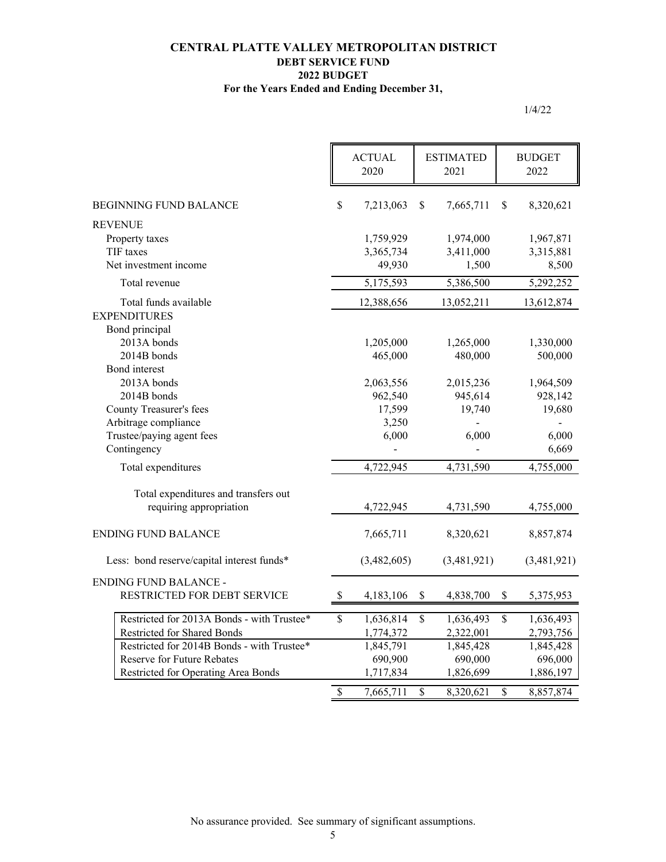#### **For the Years Ended and Ending December 31, CENTRAL PLATTE VALLEY METROPOLITAN DISTRICT DEBT SERVICE FUND 2022 BUDGET**

|                                            |                           | <b>ACTUAL</b><br>2020 | <b>ESTIMATED</b><br>2021 |                          | <b>BUDGET</b><br>2022 |
|--------------------------------------------|---------------------------|-----------------------|--------------------------|--------------------------|-----------------------|
| <b>BEGINNING FUND BALANCE</b>              | \$                        | 7,213,063             | \$<br>7,665,711          | \$                       | 8,320,621             |
| <b>REVENUE</b>                             |                           |                       |                          |                          |                       |
| Property taxes                             |                           | 1,759,929             | 1,974,000                |                          | 1,967,871             |
| TIF taxes                                  |                           | 3,365,734             | 3,411,000                |                          | 3,315,881             |
| Net investment income                      |                           | 49,930                | 1,500                    |                          | 8,500                 |
| Total revenue                              |                           | 5,175,593             | 5,386,500                |                          | 5,292,252             |
| Total funds available                      |                           | 12,388,656            | 13,052,211               |                          | 13,612,874            |
| <b>EXPENDITURES</b>                        |                           |                       |                          |                          |                       |
| Bond principal                             |                           |                       |                          |                          |                       |
| 2013A bonds                                |                           | 1,205,000             | 1,265,000                |                          | 1,330,000             |
| 2014B bonds                                |                           | 465,000               | 480,000                  |                          | 500,000               |
| Bond interest                              |                           |                       |                          |                          |                       |
| 2013A bonds<br>2014B bonds                 |                           | 2,063,556<br>962,540  | 2,015,236<br>945,614     |                          | 1,964,509             |
| <b>County Treasurer's fees</b>             |                           | 17,599                | 19,740                   |                          | 928,142<br>19,680     |
| Arbitrage compliance                       |                           | 3,250                 |                          |                          |                       |
| Trustee/paying agent fees                  |                           | 6,000                 | 6,000                    |                          | 6,000                 |
| Contingency                                |                           |                       |                          |                          | 6,669                 |
|                                            |                           |                       |                          |                          |                       |
| Total expenditures                         |                           | 4,722,945             | 4,731,590                |                          | 4,755,000             |
| Total expenditures and transfers out       |                           |                       |                          |                          |                       |
| requiring appropriation                    |                           | 4,722,945             | 4,731,590                |                          | 4,755,000             |
| <b>ENDING FUND BALANCE</b>                 |                           | 7,665,711             | 8,320,621                |                          | 8,857,874             |
| Less: bond reserve/capital interest funds* |                           | (3,482,605)           | (3,481,921)              |                          | (3,481,921)           |
| <b>ENDING FUND BALANCE -</b>               |                           |                       |                          |                          |                       |
| RESTRICTED FOR DEBT SERVICE                | $\boldsymbol{\mathsf{S}}$ | 4,183,106             | \$<br>4,838,700          | \$                       | 5,375,953             |
| Restricted for 2013A Bonds - with Trustee* | $\mathsf{\$}$             | 1,636,814             | \$<br>1,636,493          | $\mathsf{\$}$            | 1,636,493             |
| Restricted for Shared Bonds                |                           | 1,774,372             | 2,322,001                |                          | 2,793,756             |
| Restricted for 2014B Bonds - with Trustee* |                           | 1,845,791             | 1,845,428                |                          | 1,845,428             |
| Reserve for Future Rebates                 |                           | 690,900               | 690,000                  |                          | 696,000               |
| Restricted for Operating Area Bonds        |                           | 1,717,834             | 1,826,699                |                          | 1,886,197             |
|                                            | $\overline{\mathcal{S}}$  | 7,665,711             | \$<br>8,320,621          | $\overline{\mathcal{S}}$ | 8,857,874             |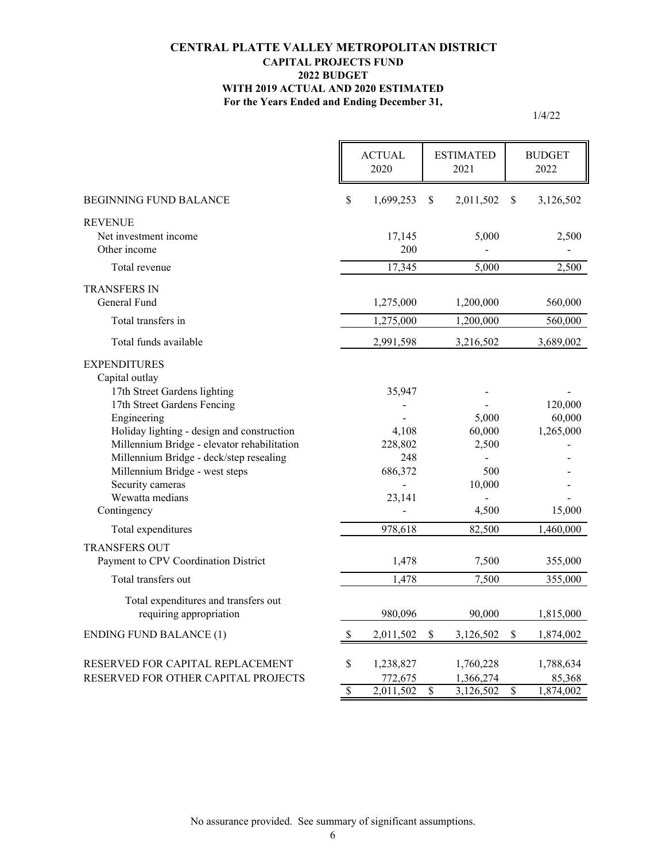#### **For the Years Ended and Ending December 31, CENTRAL PLATTE VALLEY METROPOLITAN DISTRICT CAPITAL PROJECTS FUND 2022 BUDGET WITH 2019 ACTUAL AND 2020 ESTIMATED**

|                                                                                                                                                                                                                                                                                                                                                     |                 | <b>ACTUAL</b><br>2020                                  | <b>ESTIMATED</b><br>2021 |                                                    | <b>BUDGET</b><br>2022    |                                          |
|-----------------------------------------------------------------------------------------------------------------------------------------------------------------------------------------------------------------------------------------------------------------------------------------------------------------------------------------------------|-----------------|--------------------------------------------------------|--------------------------|----------------------------------------------------|--------------------------|------------------------------------------|
| <b>BEGINNING FUND BALANCE</b>                                                                                                                                                                                                                                                                                                                       | \$              | 1,699,253                                              | \$                       | 2,011,502                                          | <sup>\$</sup>            | 3,126,502                                |
| <b>REVENUE</b><br>Net investment income<br>Other income                                                                                                                                                                                                                                                                                             |                 | 17,145<br>200                                          |                          | 5,000                                              |                          | 2,500                                    |
| Total revenue                                                                                                                                                                                                                                                                                                                                       |                 | 17,345                                                 |                          | 5.000                                              |                          | 2,500                                    |
| <b>TRANSFERS IN</b><br>General Fund                                                                                                                                                                                                                                                                                                                 |                 | 1,275,000                                              |                          | 1,200,000                                          |                          | 560,000                                  |
| Total transfers in                                                                                                                                                                                                                                                                                                                                  |                 | 1,275,000                                              |                          | 1,200,000                                          |                          | 560,000                                  |
| Total funds available                                                                                                                                                                                                                                                                                                                               |                 | 2,991,598                                              |                          | 3,216,502                                          |                          | 3,689,002                                |
| <b>EXPENDITURES</b><br>Capital outlay<br>17th Street Gardens lighting<br>17th Street Gardens Fencing<br>Engineering<br>Holiday lighting - design and construction<br>Millennium Bridge - elevator rehabilitation<br>Millennium Bridge - deck/step resealing<br>Millennium Bridge - west steps<br>Security cameras<br>Wewatta medians<br>Contingency |                 | 35,947<br>4,108<br>228,802<br>248<br>686,372<br>23,141 |                          | 5,000<br>60,000<br>2,500<br>500<br>10,000<br>4,500 |                          | 120,000<br>60,000<br>1,265,000<br>15,000 |
| Total expenditures                                                                                                                                                                                                                                                                                                                                  |                 | 978,618                                                |                          | 82,500                                             |                          | 1,460,000                                |
| <b>TRANSFERS OUT</b><br>Payment to CPV Coordination District                                                                                                                                                                                                                                                                                        |                 | 1,478                                                  |                          | 7,500                                              |                          | 355,000                                  |
| Total transfers out                                                                                                                                                                                                                                                                                                                                 |                 | 1,478                                                  |                          | 7,500                                              |                          | 355,000                                  |
| Total expenditures and transfers out<br>requiring appropriation                                                                                                                                                                                                                                                                                     |                 | 980,096                                                |                          | 90,000                                             |                          | 1,815,000                                |
| <b>ENDING FUND BALANCE (1)</b>                                                                                                                                                                                                                                                                                                                      | <sup>\$</sup>   | 2,011,502                                              | \$                       | 3,126,502                                          | \$                       | 1,874,002                                |
| RESERVED FOR CAPITAL REPLACEMENT<br>RESERVED FOR OTHER CAPITAL PROJECTS                                                                                                                                                                                                                                                                             | \$              | 1,238,827<br>772,675                                   |                          | 1,760,228<br>1,366,274                             |                          | 1,788,634<br>85,368                      |
|                                                                                                                                                                                                                                                                                                                                                     | $\overline{\$}$ | 2,011,502                                              | $\overline{\mathcal{S}}$ | 3,126,502                                          | $\overline{\mathcal{S}}$ | 1,874,002                                |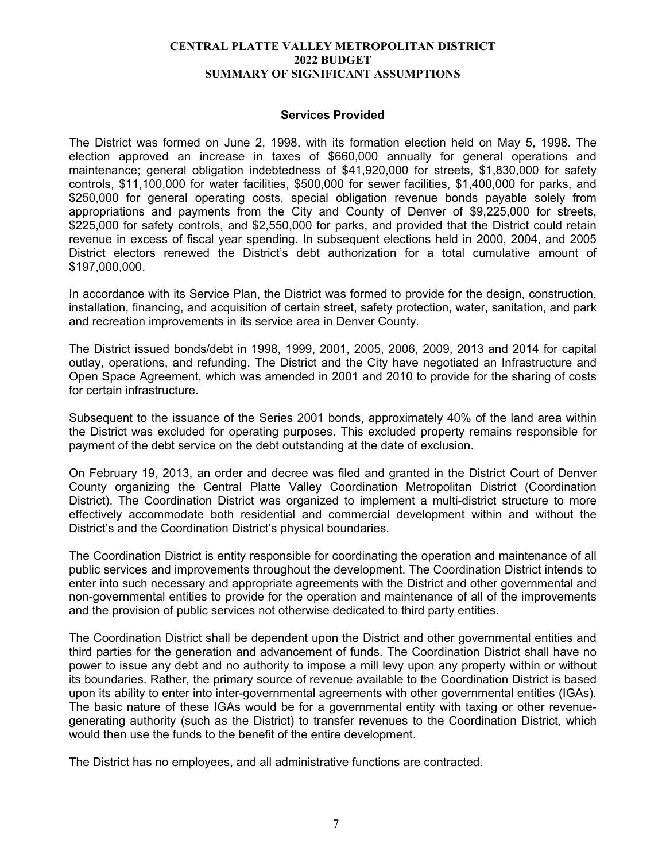#### **Services Provided**

The District was formed on June 2, 1998, with its formation election held on May 5, 1998. The election approved an increase in taxes of \$660,000 annually for general operations and maintenance; general obligation indebtedness of \$41,920,000 for streets, \$1,830,000 for safety controls, \$11,100,000 for water facilities, \$500,000 for sewer facilities, \$1,400,000 for parks, and \$250,000 for general operating costs, special obligation revenue bonds payable solely from appropriations and payments from the City and County of Denver of \$9,225,000 for streets, \$225,000 for safety controls, and \$2,550,000 for parks, and provided that the District could retain revenue in excess of fiscal year spending. In subsequent elections held in 2000, 2004, and 2005 District electors renewed the District's debt authorization for a total cumulative amount of \$197,000,000.

In accordance with its Service Plan, the District was formed to provide for the design, construction, installation, financing, and acquisition of certain street, safety protection, water, sanitation, and park and recreation improvements in its service area in Denver County.

The District issued bonds/debt in 1998, 1999, 2001, 2005, 2006, 2009, 2013 and 2014 for capital outlay, operations, and refunding. The District and the City have negotiated an Infrastructure and Open Space Agreement, which was amended in 2001 and 2010 to provide for the sharing of costs for certain infrastructure.

Subsequent to the issuance of the Series 2001 bonds, approximately 40% of the land area within the District was excluded for operating purposes. This excluded property remains responsible for payment of the debt service on the debt outstanding at the date of exclusion.

On February 19, 2013, an order and decree was filed and granted in the District Court of Denver County organizing the Central Platte Valley Coordination Metropolitan District (Coordination District). The Coordination District was organized to implement a multi-district structure to more effectively accommodate both residential and commercial development within and without the District's and the Coordination District's physical boundaries.

The Coordination District is entity responsible for coordinating the operation and maintenance of all public services and improvements throughout the development. The Coordination District intends to enter into such necessary and appropriate agreements with the District and other governmental and non-governmental entities to provide for the operation and maintenance of all of the improvements and the provision of public services not otherwise dedicated to third party entities.

The Coordination District shall be dependent upon the District and other governmental entities and third parties for the generation and advancement of funds. The Coordination District shall have no power to issue any debt and no authority to impose a mill levy upon any property within or without its boundaries. Rather, the primary source of revenue available to the Coordination District is based upon its ability to enter into inter-governmental agreements with other governmental entities (IGAs). The basic nature of these IGAs would be for a governmental entity with taxing or other revenuegenerating authority (such as the District) to transfer revenues to the Coordination District, which would then use the funds to the benefit of the entire development.

The District has no employees, and all administrative functions are contracted.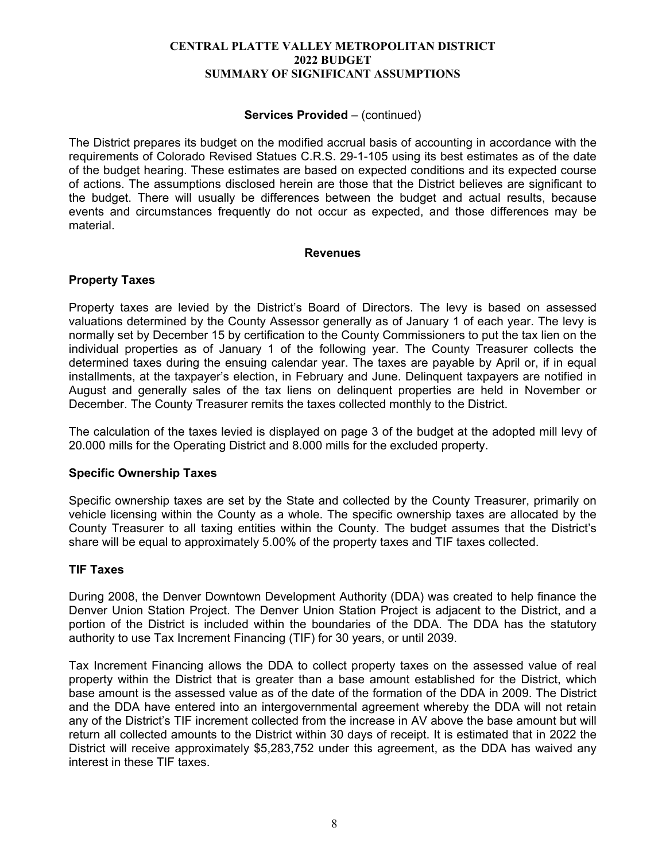#### **Services Provided** – (continued)

The District prepares its budget on the modified accrual basis of accounting in accordance with the requirements of Colorado Revised Statues C.R.S. 29-1-105 using its best estimates as of the date of the budget hearing. These estimates are based on expected conditions and its expected course of actions. The assumptions disclosed herein are those that the District believes are significant to the budget. There will usually be differences between the budget and actual results, because events and circumstances frequently do not occur as expected, and those differences may be material.

#### **Revenues**

#### **Property Taxes**

Property taxes are levied by the District's Board of Directors. The levy is based on assessed valuations determined by the County Assessor generally as of January 1 of each year. The levy is normally set by December 15 by certification to the County Commissioners to put the tax lien on the individual properties as of January 1 of the following year. The County Treasurer collects the determined taxes during the ensuing calendar year. The taxes are payable by April or, if in equal installments, at the taxpayer's election, in February and June. Delinquent taxpayers are notified in August and generally sales of the tax liens on delinquent properties are held in November or December. The County Treasurer remits the taxes collected monthly to the District.

The calculation of the taxes levied is displayed on page 3 of the budget at the adopted mill levy of 20.000 mills for the Operating District and 8.000 mills for the excluded property.

#### **Specific Ownership Taxes**

Specific ownership taxes are set by the State and collected by the County Treasurer, primarily on vehicle licensing within the County as a whole. The specific ownership taxes are allocated by the County Treasurer to all taxing entities within the County. The budget assumes that the District's share will be equal to approximately 5.00% of the property taxes and TIF taxes collected.

#### **TIF Taxes**

During 2008, the Denver Downtown Development Authority (DDA) was created to help finance the Denver Union Station Project. The Denver Union Station Project is adjacent to the District, and a portion of the District is included within the boundaries of the DDA. The DDA has the statutory authority to use Tax Increment Financing (TIF) for 30 years, or until 2039.

Tax Increment Financing allows the DDA to collect property taxes on the assessed value of real property within the District that is greater than a base amount established for the District, which base amount is the assessed value as of the date of the formation of the DDA in 2009. The District and the DDA have entered into an intergovernmental agreement whereby the DDA will not retain any of the District's TIF increment collected from the increase in AV above the base amount but will return all collected amounts to the District within 30 days of receipt. It is estimated that in 2022 the District will receive approximately \$5,283,752 under this agreement, as the DDA has waived any interest in these TIF taxes.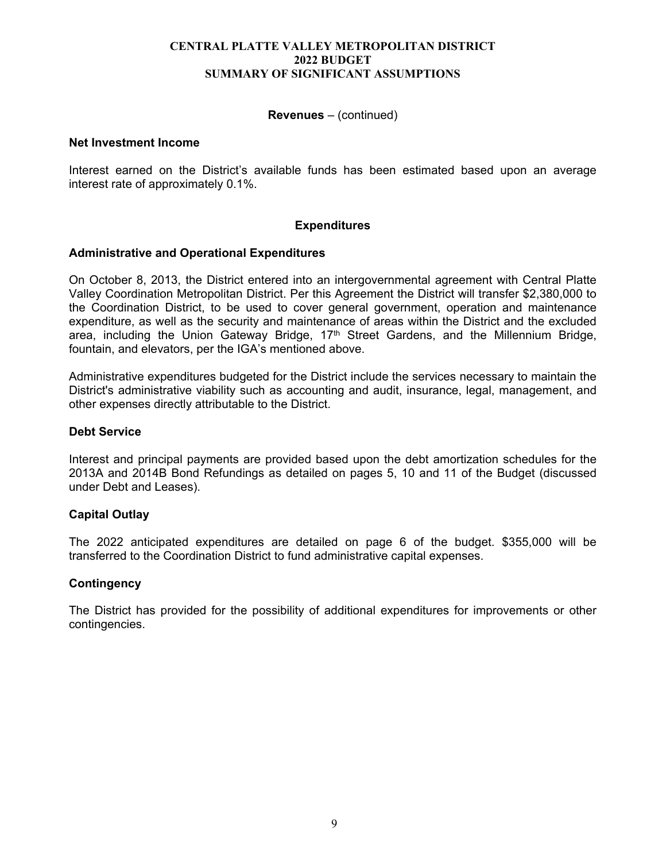#### **Revenues** – (continued)

#### **Net Investment Income**

Interest earned on the District's available funds has been estimated based upon an average interest rate of approximately 0.1%.

#### **Expenditures**

#### **Administrative and Operational Expenditures**

On October 8, 2013, the District entered into an intergovernmental agreement with Central Platte Valley Coordination Metropolitan District. Per this Agreement the District will transfer \$2,380,000 to the Coordination District, to be used to cover general government, operation and maintenance expenditure, as well as the security and maintenance of areas within the District and the excluded area, including the Union Gateway Bridge,  $17<sup>th</sup>$  Street Gardens, and the Millennium Bridge, fountain, and elevators, per the IGA's mentioned above.

Administrative expenditures budgeted for the District include the services necessary to maintain the District's administrative viability such as accounting and audit, insurance, legal, management, and other expenses directly attributable to the District.

#### **Debt Service**

Interest and principal payments are provided based upon the debt amortization schedules for the 2013A and 2014B Bond Refundings as detailed on pages 5, 10 and 11 of the Budget (discussed under Debt and Leases).

#### **Capital Outlay**

The 2022 anticipated expenditures are detailed on page 6 of the budget. \$355,000 will be transferred to the Coordination District to fund administrative capital expenses.

#### **Contingency**

The District has provided for the possibility of additional expenditures for improvements or other contingencies.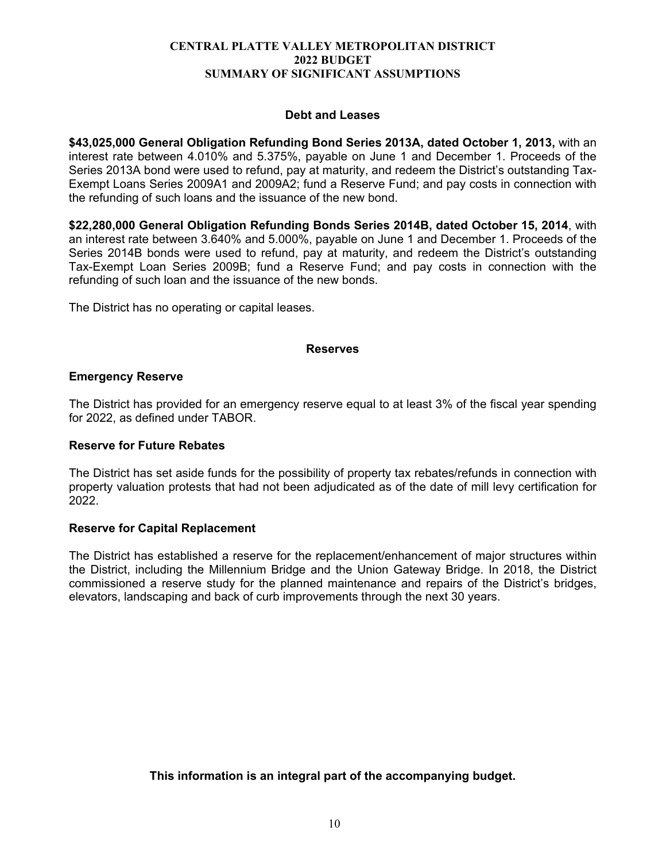#### **Debt and Leases**

**\$43,025,000 General Obligation Refunding Bond Series 2013A, dated October 1, 2013,** with an interest rate between 4.010% and 5.375%, payable on June 1 and December 1. Proceeds of the Series 2013A bond were used to refund, pay at maturity, and redeem the District's outstanding Tax-Exempt Loans Series 2009A1 and 2009A2; fund a Reserve Fund; and pay costs in connection with the refunding of such loans and the issuance of the new bond.

**\$22,280,000 General Obligation Refunding Bonds Series 2014B, dated October 15, 2014**, with an interest rate between 3.640% and 5.000%, payable on June 1 and December 1. Proceeds of the Series 2014B bonds were used to refund, pay at maturity, and redeem the District's outstanding Tax-Exempt Loan Series 2009B; fund a Reserve Fund; and pay costs in connection with the refunding of such loan and the issuance of the new bonds.

The District has no operating or capital leases.

#### **Reserves**

#### **Emergency Reserve**

The District has provided for an emergency reserve equal to at least 3% of the fiscal year spending for 2022, as defined under TABOR.

#### **Reserve for Future Rebates**

The District has set aside funds for the possibility of property tax rebates/refunds in connection with property valuation protests that had not been adjudicated as of the date of mill levy certification for 2022.

#### **Reserve for Capital Replacement**

The District has established a reserve for the replacement/enhancement of major structures within the District, including the Millennium Bridge and the Union Gateway Bridge. In 2018, the District commissioned a reserve study for the planned maintenance and repairs of the District's bridges, elevators, landscaping and back of curb improvements through the next 30 years.

**This information is an integral part of the accompanying budget.**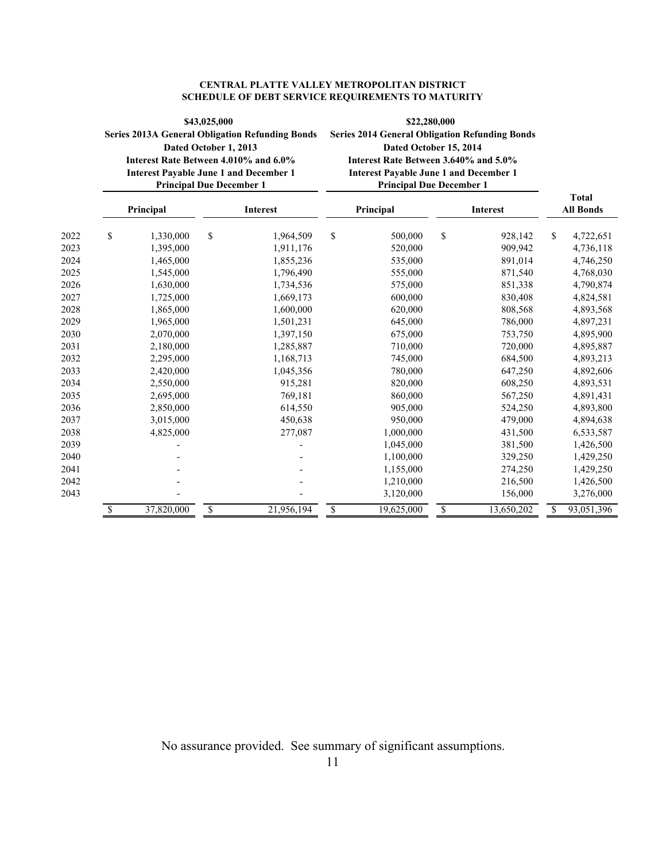| <b>CENTRAL PLATTE VALLEY METROPOLITAN DISTRICT</b>       |
|----------------------------------------------------------|
| <b>SCHEDULE OF DEBT SERVICE REQUIREMENTS TO MATURITY</b> |

|                      | \$43,025,000<br><b>Series 2013A General Obligation Refunding Bonds</b><br>Dated October 1, 2013<br>Interest Rate Between 4.010% and 6.0%<br><b>Interest Payable June 1 and December 1</b><br><b>Principal Due December 1</b> |                        |    | \$22,280,000<br><b>Series 2014 General Obligation Refunding Bonds</b><br>Dated October 15, 2014<br>Interest Rate Between 3.640% and 5.0%<br><b>Interest Payable June 1 and December 1</b><br><b>Principal Due December 1</b> |    |                                     |    |                               |                                     |
|----------------------|------------------------------------------------------------------------------------------------------------------------------------------------------------------------------------------------------------------------------|------------------------|----|------------------------------------------------------------------------------------------------------------------------------------------------------------------------------------------------------------------------------|----|-------------------------------------|----|-------------------------------|-------------------------------------|
|                      |                                                                                                                                                                                                                              | Principal              |    | Interest                                                                                                                                                                                                                     |    | Principal                           |    | Interest                      | <b>Total</b><br><b>All Bonds</b>    |
| 2022<br>2023         | \$                                                                                                                                                                                                                           | 1,330,000<br>1,395,000 | \$ | 1,964,509<br>1,911,176                                                                                                                                                                                                       | \$ | 500,000<br>520,000                  | \$ | 928,142<br>909,942            | \$<br>4,722,651<br>4,736,118        |
| 2024<br>2025         |                                                                                                                                                                                                                              | 1,465,000<br>1,545,000 |    | 1,855,236<br>1,796,490                                                                                                                                                                                                       |    | 535,000<br>555,000                  |    | 891,014<br>871,540            | 4,746,250<br>4,768,030              |
| 2026<br>2027         |                                                                                                                                                                                                                              | 1,630,000<br>1,725,000 |    | 1,734,536<br>1,669,173                                                                                                                                                                                                       |    | 575,000<br>600,000                  |    | 851,338<br>830,408            | 4,790,874<br>4,824,581              |
| 2028<br>2029         |                                                                                                                                                                                                                              | 1,865,000<br>1,965,000 |    | 1,600,000<br>1,501,231                                                                                                                                                                                                       |    | 620,000<br>645,000                  |    | 808,568<br>786,000            | 4,893,568<br>4,897,231              |
| 2030<br>2031         |                                                                                                                                                                                                                              | 2,070,000<br>2,180,000 |    | 1,397,150<br>1,285,887                                                                                                                                                                                                       |    | 675,000<br>710,000                  |    | 753,750<br>720,000            | 4,895,900<br>4,895,887              |
| 2032<br>2033         |                                                                                                                                                                                                                              | 2,295,000<br>2,420,000 |    | 1,168,713<br>1,045,356                                                                                                                                                                                                       |    | 745,000<br>780,000                  |    | 684,500<br>647,250            | 4,893,213<br>4,892,606              |
| 2034<br>2035         |                                                                                                                                                                                                                              | 2,550,000<br>2,695,000 |    | 915,281<br>769,181                                                                                                                                                                                                           |    | 820,000<br>860,000                  |    | 608,250<br>567,250            | 4,893,531<br>4,891,431              |
| 2036<br>2037         |                                                                                                                                                                                                                              | 2,850,000<br>3,015,000 |    | 614,550<br>450,638                                                                                                                                                                                                           |    | 905,000<br>950,000                  |    | 524,250<br>479,000            | 4,893,800<br>4,894,638              |
| 2038<br>2039         |                                                                                                                                                                                                                              | 4,825,000              |    | 277,087                                                                                                                                                                                                                      |    | 1,000,000<br>1,045,000              |    | 431,500<br>381,500            | 6,533,587<br>1,426,500              |
| 2040                 |                                                                                                                                                                                                                              |                        |    |                                                                                                                                                                                                                              |    | 1,100,000                           |    | 329,250                       | 1,429,250                           |
| 2041<br>2042<br>2043 |                                                                                                                                                                                                                              |                        |    |                                                                                                                                                                                                                              |    | 1,155,000<br>1,210,000<br>3,120,000 |    | 274,250<br>216,500<br>156,000 | 1,429,250<br>1,426,500<br>3,276,000 |
|                      | \$                                                                                                                                                                                                                           | 37,820,000             | \$ | 21,956,194                                                                                                                                                                                                                   | \$ | 19,625,000                          | \$ | 13,650,202                    | \$<br>93,051,396                    |

No assurance provided. See summary of significant assumptions.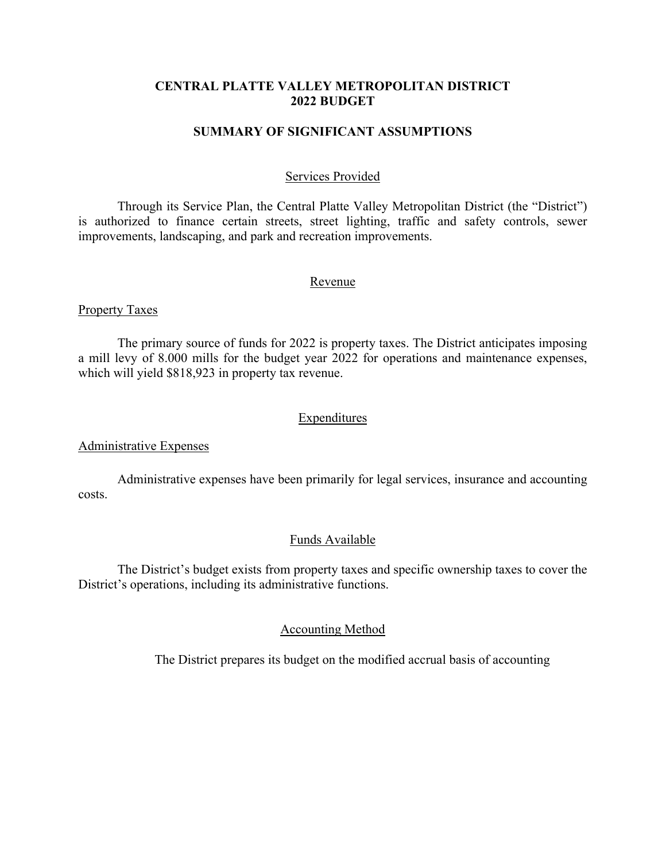#### **CENTRAL PLATTE VALLEY METROPOLITAN DISTRICT 2022 BUDGET**

#### **SUMMARY OF SIGNIFICANT ASSUMPTIONS**

#### Services Provided

Through its Service Plan, the Central Platte Valley Metropolitan District (the "District") is authorized to finance certain streets, street lighting, traffic and safety controls, sewer improvements, landscaping, and park and recreation improvements.

#### Revenue

#### Property Taxes

 The primary source of funds for 2022 is property taxes. The District anticipates imposing a mill levy of 8.000 mills for the budget year 2022 for operations and maintenance expenses, which will yield \$818,923 in property tax revenue.

#### Expenditures

#### Administrative Expenses

 Administrative expenses have been primarily for legal services, insurance and accounting costs.

#### Funds Available

 The District's budget exists from property taxes and specific ownership taxes to cover the District's operations, including its administrative functions.

#### Accounting Method

The District prepares its budget on the modified accrual basis of accounting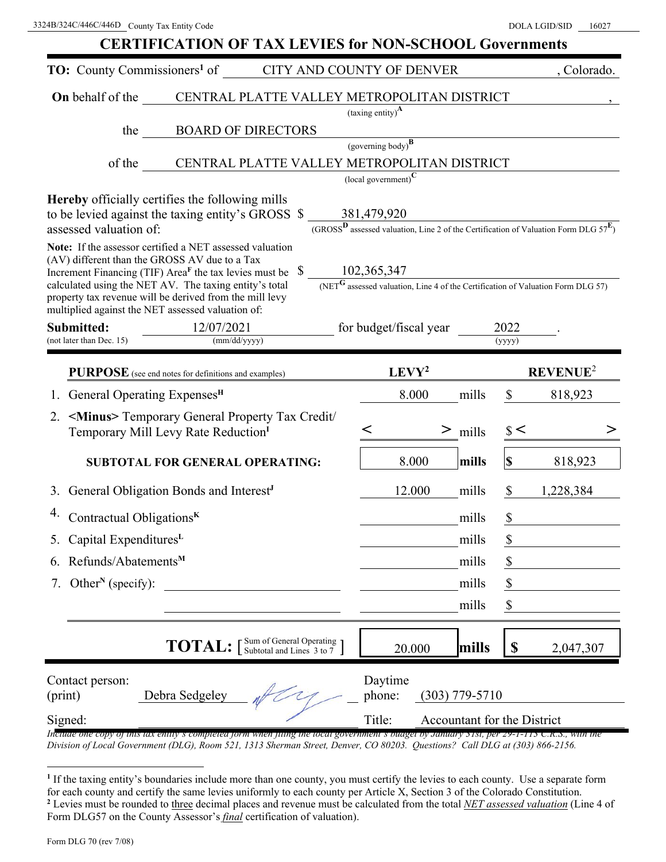| <b>CERTIFICATION OF TAX LEVIES for NON-SCHOOL Governments</b>                                                                                                                                                                                                                                                                                                                                                               |                                                   |                             |  |  |  |  |  |
|-----------------------------------------------------------------------------------------------------------------------------------------------------------------------------------------------------------------------------------------------------------------------------------------------------------------------------------------------------------------------------------------------------------------------------|---------------------------------------------------|-----------------------------|--|--|--|--|--|
| <b>TO:</b> County Commissioners <sup>1</sup> of<br><b>CITY AND COUNTY OF DENVER</b>                                                                                                                                                                                                                                                                                                                                         |                                                   | , Colorado.                 |  |  |  |  |  |
| <b>On</b> behalf of the<br>CENTRAL PLATTE VALLEY METROPOLITAN DISTRICT                                                                                                                                                                                                                                                                                                                                                      |                                                   |                             |  |  |  |  |  |
|                                                                                                                                                                                                                                                                                                                                                                                                                             | $\left(\text{taxing entity}\right)^{\mathbf{A}}$  |                             |  |  |  |  |  |
| <b>BOARD OF DIRECTORS</b><br>the                                                                                                                                                                                                                                                                                                                                                                                            | $(governing body)^{\mathbf{B}}$                   |                             |  |  |  |  |  |
| of the CENTRAL PLATTE VALLEY METROPOLITAN DISTRICT                                                                                                                                                                                                                                                                                                                                                                          |                                                   |                             |  |  |  |  |  |
|                                                                                                                                                                                                                                                                                                                                                                                                                             | $\overline{\text{(local government)}}^{\text{C}}$ |                             |  |  |  |  |  |
| <b>Hereby</b> officially certifies the following mills<br>to be levied against the taxing entity's GROSS \$<br>$\frac{381,479,920}{(GROSS^D)$ assessed valuation, Line 2 of the Certification of Valuation Form DLG $57^E$ )<br>assessed valuation of:                                                                                                                                                                      |                                                   |                             |  |  |  |  |  |
| Note: If the assessor certified a NET assessed valuation<br>(AV) different than the GROSS AV due to a Tax<br>Increment Financing (TIF) Area <sup>F</sup> the tax levies must be $\$$<br>$\frac{102,365,347}{(NET^G \text{ assessed valuation, Line 4 of the Certification of Valuation Form DLG 57)}}$<br>calculated using the NET AV. The taxing entity's total<br>property tax revenue will be derived from the mill levy |                                                   |                             |  |  |  |  |  |
| multiplied against the NET assessed valuation of:<br>Submitted:<br>12/07/2021<br>(not later than Dec. 15)<br>(mm/dd/yyyy)                                                                                                                                                                                                                                                                                                   | for budget/fiscal year                            | 2022<br>(yyyy)              |  |  |  |  |  |
| <b>PURPOSE</b> (see end notes for definitions and examples)                                                                                                                                                                                                                                                                                                                                                                 | LEVY <sup>2</sup>                                 | REVENUE <sup>2</sup>        |  |  |  |  |  |
| General Operating Expenses <sup>H</sup>                                                                                                                                                                                                                                                                                                                                                                                     | 8.000<br>mills                                    | \$<br>818,923               |  |  |  |  |  |
| <minus> Temporary General Property Tax Credit/<br/>2.<br/>Temporary Mill Levy Rate Reduction<sup>I</sup></minus>                                                                                                                                                                                                                                                                                                            | $\,<\,$<br>><br>mills                             | $\frac{1}{2}$               |  |  |  |  |  |
| SUBTOTAL FOR GENERAL OPERATING:                                                                                                                                                                                                                                                                                                                                                                                             | 8.000<br>mills                                    | $\mathbf S$<br>818,923      |  |  |  |  |  |
| General Obligation Bonds and Interest <sup>J</sup><br>3.                                                                                                                                                                                                                                                                                                                                                                    | 12.000<br>mills                                   | $\mathbb{S}$<br>1,228,384   |  |  |  |  |  |
| Contractual Obligations <sup>K</sup>                                                                                                                                                                                                                                                                                                                                                                                        | mills                                             | \$                          |  |  |  |  |  |
| Capital Expenditures <sup>L</sup>                                                                                                                                                                                                                                                                                                                                                                                           | mills                                             |                             |  |  |  |  |  |
| Refunds/Abatements <sup>M</sup>                                                                                                                                                                                                                                                                                                                                                                                             | mills                                             | \$                          |  |  |  |  |  |
| Other <sup>N</sup> (specify):<br>7.                                                                                                                                                                                                                                                                                                                                                                                         | mills                                             | \$                          |  |  |  |  |  |
|                                                                                                                                                                                                                                                                                                                                                                                                                             | mills                                             | \$                          |  |  |  |  |  |
| <b>TOTAL:</b> [Sum of General Operating ]                                                                                                                                                                                                                                                                                                                                                                                   | mills<br>20.000                                   | \$<br>2,047,307             |  |  |  |  |  |
| Contact person:<br>Debra Sedgeley<br>(print)                                                                                                                                                                                                                                                                                                                                                                                | Daytime<br>phone:<br>$(303)$ 779-5710             |                             |  |  |  |  |  |
| Signed:                                                                                                                                                                                                                                                                                                                                                                                                                     | Title:                                            | Accountant for the District |  |  |  |  |  |

*Include one copy of this tax entity's completed form when filing the local government's budget by January 31st, per 29-1-113 C.R.S., with the Division of Local Government (DLG), Room 521, 1313 Sherman Street, Denver, CO 80203. Questions? Call DLG at (303) 866-2156.* 

**<sup>1</sup>** If the taxing entity's boundaries include more than one county, you must certify the levies to each county. Use a separate form for each county and certify the same levies uniformly to each county per Article X, Section 3 of the Colorado Constitution. **2** Levies must be rounded to three decimal places and revenue must be calculated from the total *NET assessed valuation* (Line 4 of Form DLG57 on the County Assessor's *final* certification of valuation).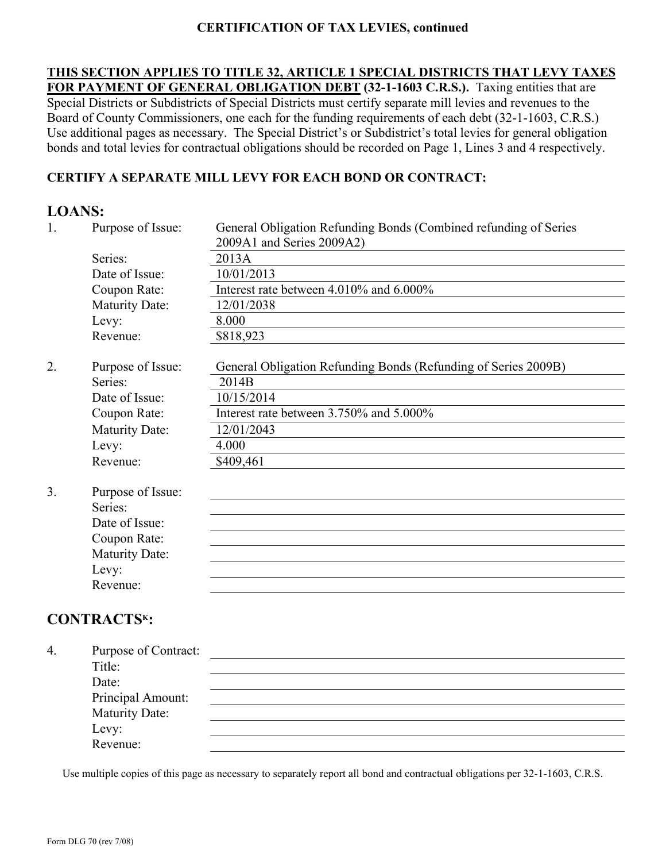## **CERTIFICATION OF TAX LEVIES, continued**

**THIS SECTION APPLIES TO TITLE 32, ARTICLE 1 SPECIAL DISTRICTS THAT LEVY TAXES FOR PAYMENT OF GENERAL OBLIGATION DEBT (32-1-1603 C.R.S.).** Taxing entities that are Special Districts or Subdistricts of Special Districts must certify separate mill levies and revenues to the Board of County Commissioners, one each for the funding requirements of each debt (32-1-1603, C.R.S.) Use additional pages as necessary. The Special District's or Subdistrict's total levies for general obligation bonds and total levies for contractual obligations should be recorded on Page 1, Lines 3 and 4 respectively.

## **CERTIFY A SEPARATE MILL LEVY FOR EACH BOND OR CONTRACT:**

## **LOANS:**

| 1. | Purpose of Issue:     | General Obligation Refunding Bonds (Combined refunding of Series<br>2009A1 and Series 2009A2) |
|----|-----------------------|-----------------------------------------------------------------------------------------------|
|    | Series:               | 2013A                                                                                         |
|    | Date of Issue:        | 10/01/2013                                                                                    |
|    | Coupon Rate:          | Interest rate between 4.010% and 6.000%                                                       |
|    | <b>Maturity Date:</b> | 12/01/2038                                                                                    |
|    | Levy:                 | 8.000                                                                                         |
|    | Revenue:              | \$818,923                                                                                     |
| 2. | Purpose of Issue:     | General Obligation Refunding Bonds (Refunding of Series 2009B)                                |
|    | Series:               | 2014B                                                                                         |
|    | Date of Issue:        | 10/15/2014                                                                                    |
|    | Coupon Rate:          | Interest rate between 3.750% and 5.000%                                                       |
|    | <b>Maturity Date:</b> | 12/01/2043                                                                                    |
|    | Levy:                 | 4.000                                                                                         |
|    | Revenue:              | \$409,461                                                                                     |
| 3. | Purpose of Issue:     |                                                                                               |
|    | Series:               |                                                                                               |
|    | Date of Issue:        |                                                                                               |
|    | Coupon Rate:          |                                                                                               |
|    | <b>Maturity Date:</b> |                                                                                               |
|    | Levy:                 |                                                                                               |
|    | Revenue:              |                                                                                               |

## **CONTRACTSK:**

| 4. | Purpose of Contract: |  |
|----|----------------------|--|
|    | Title:               |  |
|    | Date:                |  |
|    | Principal Amount:    |  |
|    | Maturity Date:       |  |
|    |                      |  |
|    | Levy:<br>Revenue:    |  |

Use multiple copies of this page as necessary to separately report all bond and contractual obligations per 32-1-1603, C.R.S.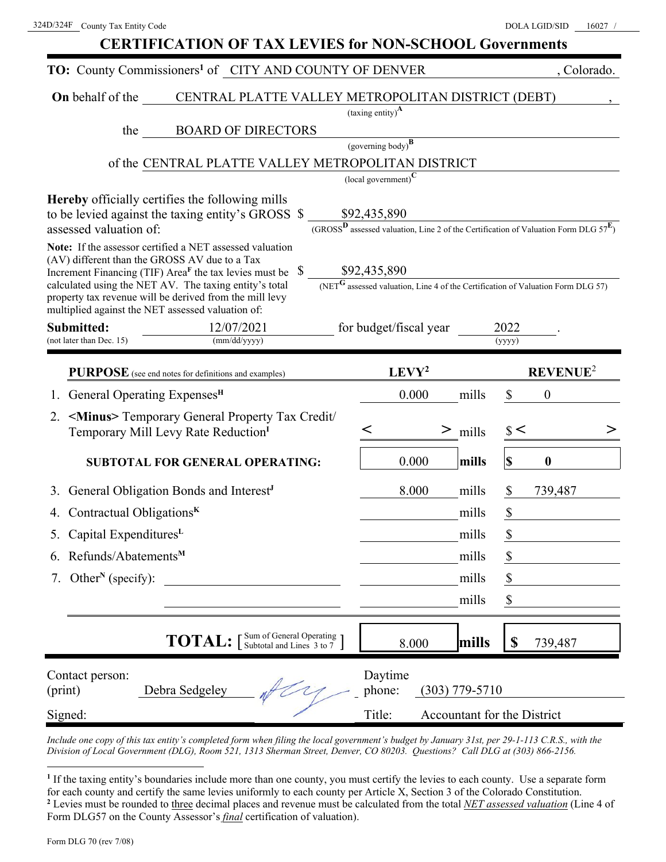| <b>CERTIFICATION OF TAX LEVIES for NON-SCHOOL Governments</b> |
|---------------------------------------------------------------|
|---------------------------------------------------------------|

|                                            | TO: County Commissioners <sup>1</sup> of CITY AND COUNTY OF DENVER                                                  |                                                                                                                          | , Colorado.                 |
|--------------------------------------------|---------------------------------------------------------------------------------------------------------------------|--------------------------------------------------------------------------------------------------------------------------|-----------------------------|
| On behalf of the                           | CENTRAL PLATTE VALLEY METROPOLITAN DISTRICT (DEBT)                                                                  |                                                                                                                          |                             |
|                                            |                                                                                                                     | $\left(\text{taxing entity}\right)^{\mathbf{A}}$                                                                         |                             |
| the                                        | <b>BOARD OF DIRECTORS</b>                                                                                           |                                                                                                                          |                             |
|                                            |                                                                                                                     | (governing body) $\overline{B}$                                                                                          |                             |
|                                            | of the CENTRAL PLATTE VALLEY METROPOLITAN DISTRICT                                                                  |                                                                                                                          |                             |
|                                            | <b>Hereby</b> officially certifies the following mills                                                              | $\left($ local government $\right)^{\mathbf{C}}$                                                                         |                             |
|                                            | to be levied against the taxing entity's GROSS \$                                                                   | \$92,435,890                                                                                                             |                             |
| assessed valuation of:                     |                                                                                                                     | $\frac{(GROS^D$ assessed valuation, Line 2 of the Certification of Valuation Form DLG $57^E$ )                           |                             |
|                                            | Note: If the assessor certified a NET assessed valuation                                                            |                                                                                                                          |                             |
|                                            | (AV) different than the GROSS AV due to a Tax<br>Increment Financing (TIF) Area <sup>F</sup> the tax levies must be |                                                                                                                          |                             |
|                                            | calculated using the NET AV. The taxing entity's total                                                              | $\underbrace{\$92,435,890}_{\textrm{(NET$G$ assessed valuation, Line 4 of the certification of Valuation Form DLG 57)}}$ |                             |
|                                            | property tax revenue will be derived from the mill levy<br>multiplied against the NET assessed valuation of:        |                                                                                                                          |                             |
| Submitted:                                 | 12/07/2021                                                                                                          | for budget/fiscal year                                                                                                   | 2022                        |
| (not later than Dec. 15)                   | (mm/dd/yyyy)                                                                                                        |                                                                                                                          | (yyyy)                      |
|                                            | PURPOSE (see end notes for definitions and examples)                                                                | LEVY <sup>2</sup>                                                                                                        | <b>REVENUE<sup>2</sup></b>  |
| General Operating Expenses <sup>H</sup>    |                                                                                                                     | 0.000<br>mills                                                                                                           | $\overline{0}$<br>\$        |
| 2.                                         | <minus> Temporary General Property Tax Credit/</minus>                                                              |                                                                                                                          |                             |
|                                            | Temporary Mill Levy Rate Reduction <sup>I</sup>                                                                     | <<br>$\geq$<br>mills                                                                                                     | $\frac{1}{2}$               |
|                                            | <b>SUBTOTAL FOR GENERAL OPERATING:</b>                                                                              | 0.000<br>mills                                                                                                           | \$<br>$\boldsymbol{0}$      |
|                                            | General Obligation Bonds and Interest <sup>J</sup>                                                                  | 8.000<br>mills                                                                                                           | \$<br>739,487               |
| Contractual Obligations <sup>K</sup><br>4. |                                                                                                                     | mills                                                                                                                    | \$                          |
| Capital Expenditures <sup>L</sup>          |                                                                                                                     | mills                                                                                                                    | \$                          |
| 6. Refunds/Abatements <sup>M</sup>         |                                                                                                                     | mills                                                                                                                    | P                           |
| Other <sup>N</sup> (specify):<br>7.        |                                                                                                                     | mills                                                                                                                    | \$                          |
|                                            |                                                                                                                     | mills                                                                                                                    | \$                          |
|                                            | <b>TOTAL:</b> [Sum of General Operating ]                                                                           | mills<br>8.000                                                                                                           | \$<br>739,487               |
| Contact person:<br>(print)                 | Debra Sedgeley                                                                                                      | Daytime<br>phone:<br>$(303) 779 - 5710$                                                                                  |                             |
| Signed:                                    |                                                                                                                     | Title:                                                                                                                   | Accountant for the District |

*Include one copy of this tax entity's completed form when filing the local government's budget by January 31st, per 29-1-113 C.R.S., with the Division of Local Government (DLG), Room 521, 1313 Sherman Street, Denver, CO 80203. Questions? Call DLG at (303) 866-2156.* 

**<sup>1</sup>** If the taxing entity's boundaries include more than one county, you must certify the levies to each county. Use a separate form for each county and certify the same levies uniformly to each county per Article X, Section 3 of the Colorado Constitution. **2** Levies must be rounded to three decimal places and revenue must be calculated from the total *NET assessed valuation* (Line 4 of Form DLG57 on the County Assessor's *final* certification of valuation).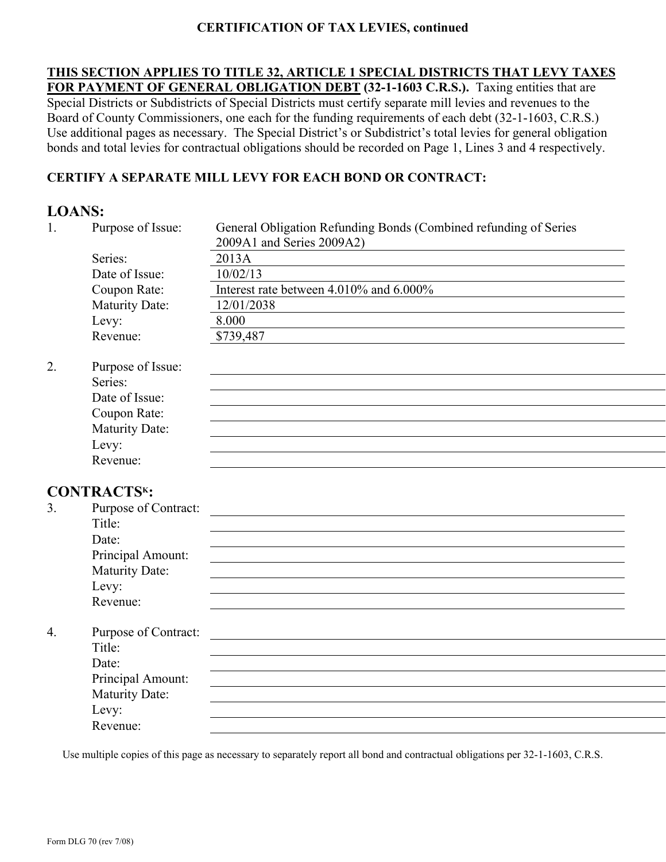## **CERTIFICATION OF TAX LEVIES, continued**

**THIS SECTION APPLIES TO TITLE 32, ARTICLE 1 SPECIAL DISTRICTS THAT LEVY TAXES FOR PAYMENT OF GENERAL OBLIGATION DEBT (32-1-1603 C.R.S.).** Taxing entities that are Special Districts or Subdistricts of Special Districts must certify separate mill levies and revenues to the Board of County Commissioners, one each for the funding requirements of each debt (32-1-1603, C.R.S.) Use additional pages as necessary. The Special District's or Subdistrict's total levies for general obligation bonds and total levies for contractual obligations should be recorded on Page 1, Lines 3 and 4 respectively.

## **CERTIFY A SEPARATE MILL LEVY FOR EACH BOND OR CONTRACT:**

## **LOANS:**

| 1.               | Purpose of Issue:     | General Obligation Refunding Bonds (Combined refunding of Series |  |
|------------------|-----------------------|------------------------------------------------------------------|--|
|                  |                       | 2009A1 and Series 2009A2)                                        |  |
|                  | Series:               | 2013A                                                            |  |
|                  | Date of Issue:        | 10/02/13                                                         |  |
|                  | Coupon Rate:          | Interest rate between 4.010% and 6.000%                          |  |
|                  | Maturity Date:        | 12/01/2038                                                       |  |
|                  | Levy:                 | 8.000                                                            |  |
|                  | Revenue:              | \$739,487                                                        |  |
| 2.               | Purpose of Issue:     |                                                                  |  |
|                  | Series:               |                                                                  |  |
|                  | Date of Issue:        |                                                                  |  |
|                  | Coupon Rate:          |                                                                  |  |
|                  | Maturity Date:        |                                                                  |  |
|                  | Levy:                 |                                                                  |  |
|                  | Revenue:              |                                                                  |  |
|                  | <b>CONTRACTSK:</b>    |                                                                  |  |
| 3.               | Purpose of Contract:  |                                                                  |  |
|                  | Title:                |                                                                  |  |
|                  | Date:                 |                                                                  |  |
|                  | Principal Amount:     |                                                                  |  |
|                  | <b>Maturity Date:</b> |                                                                  |  |
|                  | Levy:                 |                                                                  |  |
|                  | Revenue:              |                                                                  |  |
| $\overline{4}$ . | Purpose of Contract:  |                                                                  |  |
|                  | Title:                |                                                                  |  |
|                  | Date:                 |                                                                  |  |
|                  | Principal Amount:     |                                                                  |  |
|                  | <b>Maturity Date:</b> |                                                                  |  |
|                  | Levy:                 |                                                                  |  |
|                  | Revenue:              |                                                                  |  |

Use multiple copies of this page as necessary to separately report all bond and contractual obligations per 32-1-1603, C.R.S.